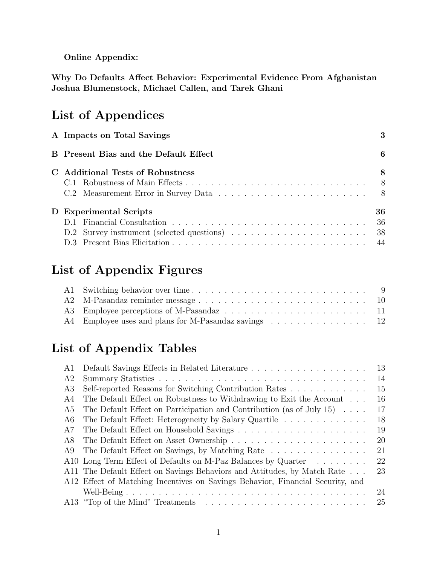Online Appendix:

Why Do Defaults Affect Behavior: Experimental Evidence From Afghanistan Joshua Blumenstock, Michael Callen, and Tarek Ghani

# List of Appendices

| A Impacts on Total Savings            |    |
|---------------------------------------|----|
| B Present Bias and the Default Effect | 6  |
| C Additional Tests of Robustness      | 8  |
|                                       |    |
|                                       |    |
| D Experimental Scripts                | 36 |
|                                       |    |
|                                       |    |
|                                       | 44 |

# List of Appendix Figures

| A4 Employee uses and plans for M-Pasandaz savings 12 |  |
|------------------------------------------------------|--|

# List of Appendix Tables

| A 1 |                                                                                | 13 |
|-----|--------------------------------------------------------------------------------|----|
| A2  |                                                                                | 14 |
| A3  | Self-reported Reasons for Switching Contribution Rates                         | 15 |
| A4  | The Default Effect on Robustness to Withdrawing to Exit the Account            | 16 |
| A5  | The Default Effect on Participation and Contribution (as of July 15) $\dots$ . | 17 |
| A6  | The Default Effect: Heterogeneity by Salary Quartile                           | 18 |
| A7  |                                                                                | 19 |
| A8  |                                                                                | 20 |
| A9  | The Default Effect on Savings, by Matching Rate                                | 21 |
|     | A10 Long Term Effect of Defaults on M-Paz Balances by Quarter                  | 22 |
|     | A11 The Default Effect on Savings Behaviors and Attitudes, by Match Rate       | 23 |
|     | A12 Effect of Matching Incentives on Savings Behavior, Financial Security, and |    |
|     |                                                                                | 24 |
|     |                                                                                | 25 |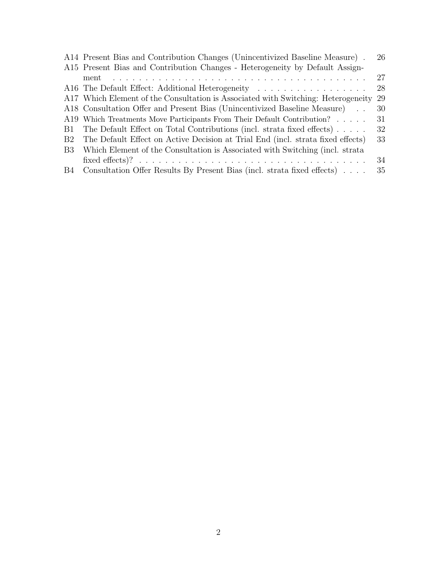|                | A14 Present Bias and Contribution Changes (Unincentivized Baseline Measure).      | 26  |
|----------------|-----------------------------------------------------------------------------------|-----|
|                | A15 Present Bias and Contribution Changes - Heterogeneity by Default Assign-      |     |
|                | ment                                                                              | 27  |
|                |                                                                                   | 28  |
|                | A17 Which Element of the Consultation is Associated with Switching: Heterogeneity | -29 |
|                | A18 Consultation Offer and Present Bias (Unincentivized Baseline Measure).        | 30  |
|                | A19 Which Treatments Move Participants From Their Default Contribution?           | 31  |
| B1.            | The Default Effect on Total Contributions (incl. strata fixed effects) $\ldots$ . | 32  |
| B <sub>2</sub> | The Default Effect on Active Decision at Trial End (incl. strata fixed effects)   | 33  |
| <b>B</b> 3     | Which Element of the Consultation is Associated with Switching (incl. strata)     |     |
|                |                                                                                   | 34  |
| <b>B</b> 4     | Consultation Offer Results By Present Bias (incl. strata fixed effects)           | 35  |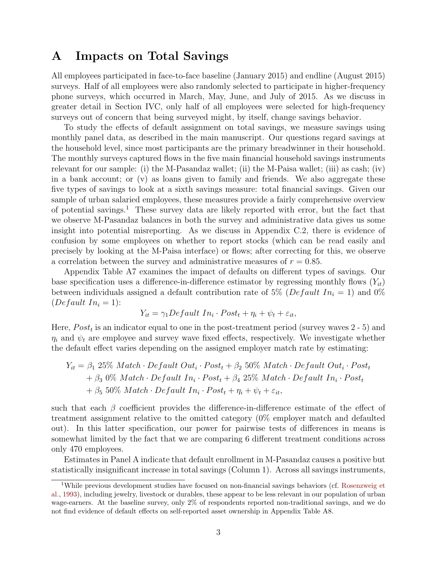## <span id="page-2-0"></span>A Impacts on Total Savings

All employees participated in face-to-face baseline (January 2015) and endline (August 2015) surveys. Half of all employees were also randomly selected to participate in higher-frequency phone surveys, which occurred in March, May, June, and July of 2015. As we discuss in greater detail in Section IVC, only half of all employees were selected for high-frequency surveys out of concern that being surveyed might, by itself, change savings behavior.

To study the effects of default assignment on total savings, we measure savings using monthly panel data, as described in the main manuscript. Our questions regard savings at the household level, since most participants are the primary breadwinner in their household. The monthly surveys captured flows in the five main financial household savings instruments relevant for our sample: (i) the M-Pasandaz wallet; (ii) the M-Paisa wallet; (iii) as cash; (iv) in a bank account; or (v) as loans given to family and friends. We also aggregate these five types of savings to look at a sixth savings measure: total financial savings. Given our sample of urban salaried employees, these measures provide a fairly comprehensive overview of potential savings.<sup>[1](#page-2-1)</sup> These survey data are likely reported with error, but the fact that we observe M-Pasandaz balances in both the survey and administrative data gives us some insight into potential misreporting. As we discuss in Appendix [C.2,](#page-7-2) there is evidence of confusion by some employees on whether to report stocks (which can be read easily and precisely by looking at the M-Paisa interface) or flows; after correcting for this, we observe a correlation between the survey and administrative measures of  $r = 0.85$ .

Appendix Table [A7](#page-18-0) examines the impact of defaults on different types of savings. Our base specification uses a difference-in-difference estimator by regressing monthly flows  $(Y_{it})$ between individuals assigned a default contribution rate of 5% (*Default In<sub>i</sub>* = 1) and 0% (*Default*  $In_i = 1$ ):

$$
Y_{it} = \gamma_1 Default \ In_i \cdot Post_t + \eta_i + \psi_t + \varepsilon_{it},
$$

Here,  $Post<sub>t</sub>$  is an indicator equal to one in the post-treatment period (survey waves 2 - 5) and  $\eta_i$  and  $\psi_t$  are employee and survey wave fixed effects, respectively. We investigate whether the default effect varies depending on the assigned employer match rate by estimating:

$$
Y_{it} = \beta_1 25\% \text{ Match} \cdot \text{Default Out}_i \cdot \text{Post}_t + \beta_2 50\% \text{ Match} \cdot \text{Default Out}_i \cdot \text{Post}_t
$$
  
+ 
$$
\beta_3 0\% \text{ Match} \cdot \text{Default In}_i \cdot \text{Post}_t + \beta_4 25\% \text{ Match} \cdot \text{Default In}_i \cdot \text{Post}_t
$$
  
+ 
$$
\beta_5 50\% \text{ Match} \cdot \text{Default In}_i \cdot \text{Post}_t + \eta_i + \psi_t + \varepsilon_{it},
$$

such that each  $\beta$  coefficient provides the difference-in-difference estimate of the effect of treatment assignment relative to the omitted category (0% employer match and defaulted out). In this latter specification, our power for pairwise tests of differences in means is somewhat limited by the fact that we are comparing 6 different treatment conditions across only 470 employees.

Estimates in Panel A indicate that default enrollment in M-Pasandaz causes a positive but statistically insignificant increase in total savings (Column 1). Across all savings instruments,

<span id="page-2-1"></span><sup>&</sup>lt;sup>1</sup>While previous development studies have focused on non-financial savings behaviors (cf. [Rosenzweig et](#page-47-0) [al.,](#page-47-0) [1993\)](#page-47-0), including jewelry, livestock or durables, these appear to be less relevant in our population of urban wage-earners. At the baseline survey, only 2% of respondents reported non-traditional savings, and we do not find evidence of default effects on self-reported asset ownership in Appendix Table [A8.](#page-19-0)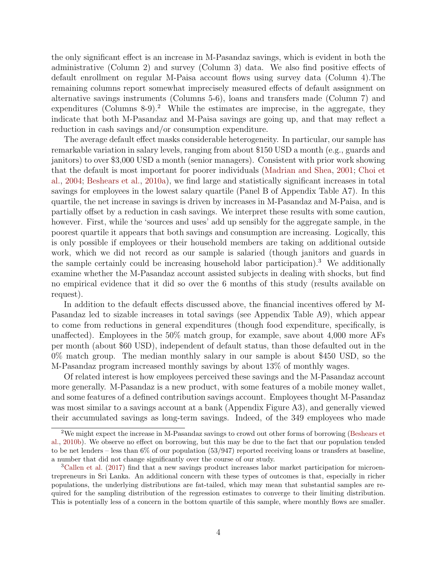the only significant effect is an increase in M-Pasandaz savings, which is evident in both the administrative (Column 2) and survey (Column 3) data. We also find positive effects of default enrollment on regular M-Paisa account flows using survey data (Column 4).The remaining columns report somewhat imprecisely measured effects of default assignment on alternative savings instruments (Columns 5-6), loans and transfers made (Column 7) and expenditures (Columns 8-9).<sup>[2](#page-3-0)</sup> While the estimates are imprecise, in the aggregate, they indicate that both M-Pasandaz and M-Paisa savings are going up, and that may reflect a reduction in cash savings and/or consumption expenditure.

The average default effect masks considerable heterogeneity. In particular, our sample has remarkable variation in salary levels, ranging from about \$150 USD a month (e.g., guards and janitors) to over \$3,000 USD a month (senior managers). Consistent with prior work showing that the default is most important for poorer individuals [\(Madrian and Shea,](#page-47-1) [2001;](#page-47-1) [Choi et](#page-47-2) [al.,](#page-47-2) [2004;](#page-47-2) [Beshears et al.,](#page-46-0) [2010a\)](#page-46-0), we find large and statistically significant increases in total savings for employees in the lowest salary quartile (Panel B of Appendix Table [A7\)](#page-18-0). In this quartile, the net increase in savings is driven by increases in M-Pasandaz and M-Paisa, and is partially offset by a reduction in cash savings. We interpret these results with some caution, however. First, while the 'sources and uses' add up sensibly for the aggregate sample, in the poorest quartile it appears that both savings and consumption are increasing. Logically, this is only possible if employees or their household members are taking on additional outside work, which we did not record as our sample is salaried (though janitors and guards in the sample certainly could be increasing household labor participation).[3](#page-3-1) We additionally examine whether the M-Pasandaz account assisted subjects in dealing with shocks, but find no empirical evidence that it did so over the 6 months of this study (results available on request).

In addition to the default effects discussed above, the financial incentives offered by M-Pasandaz led to sizable increases in total savings (see Appendix Table [A9\)](#page-20-0), which appear to come from reductions in general expenditures (though food expenditure, specifically, is unaffected). Employees in the 50% match group, for example, save about 4,000 more AFs per month (about \$60 USD), independent of default status, than those defaulted out in the 0% match group. The median monthly salary in our sample is about \$450 USD, so the M-Pasandaz program increased monthly savings by about 13% of monthly wages.

Of related interest is how employees perceived these savings and the M-Pasandaz account more generally. M-Pasandaz is a new product, with some features of a mobile money wallet, and some features of a defined contribution savings account. Employees thought M-Pasandaz was most similar to a savings account at a bank (Appendix Figure [A3\)](#page-10-0), and generally viewed their accumulated savings as long-term savings. Indeed, of the 349 employees who made

<span id="page-3-0"></span><sup>&</sup>lt;sup>2</sup>We might expect the increase in M-Pasandaz savings to crowd out other forms of borrowing [\(Beshears et](#page-46-1) [al.,](#page-46-1) [2010b\)](#page-46-1). We observe no effect on borrowing, but this may be due to the fact that our population tended to be net lenders – less than 6% of our population (53/947) reported receiving loans or transfers at baseline, a number that did not change significantly over the course of our study.

<span id="page-3-1"></span><sup>3</sup>[Callen et al.](#page-46-2) [\(2017\)](#page-46-2) find that a new savings product increases labor market participation for microentrepreneurs in Sri Lanka. An additional concern with these types of outcomes is that, especially in richer populations, the underlying distributions are fat-tailed, which may mean that substantial samples are required for the sampling distribution of the regression estimates to converge to their limiting distribution. This is potentially less of a concern in the bottom quartile of this sample, where monthly flows are smaller.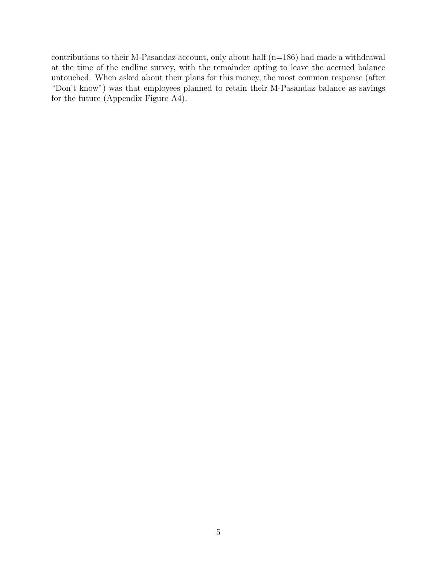contributions to their M-Pasandaz account, only about half (n=186) had made a withdrawal at the time of the endline survey, with the remainder opting to leave the accrued balance untouched. When asked about their plans for this money, the most common response (after "Don't know") was that employees planned to retain their M-Pasandaz balance as savings for the future (Appendix Figure [A4\)](#page-11-0).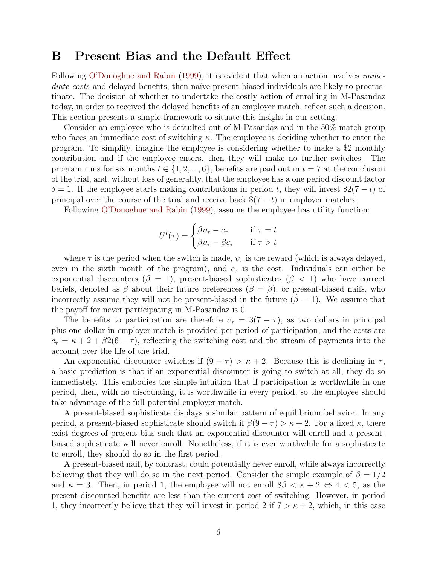## <span id="page-5-0"></span>B Present Bias and the Default Effect

Following [O'Donoghue and Rabin](#page-47-3) [\(1999\)](#page-47-3), it is evident that when an action involves *imme*diate costs and delayed benefits, then naïve present-biased individuals are likely to procrastinate. The decision of whether to undertake the costly action of enrolling in M-Pasandaz today, in order to received the delayed benefits of an employer match, reflect such a decision. This section presents a simple framework to situate this insight in our setting.

Consider an employee who is defaulted out of M-Pasandaz and in the 50% match group who faces an immediate cost of switching  $\kappa$ . The employee is deciding whether to enter the program. To simplify, imagine the employee is considering whether to make a \$2 monthly contribution and if the employee enters, then they will make no further switches. The program runs for six months  $t \in \{1, 2, ..., 6\}$ , benefits are paid out in  $t = 7$  at the conclusion of the trial, and, without loss of generality, that the employee has a one period discount factor  $\delta = 1$ . If the employee starts making contributions in period t, they will invest \$2(7 – t) of principal over the course of the trial and receive back  $\$(7 - t)$  in employer matches.

Following [O'Donoghue and Rabin](#page-47-3) [\(1999\)](#page-47-3), assume the employee has utility function:

$$
U^t(\tau) = \begin{cases} \beta v_\tau - c_\tau & \text{if } \tau = t \\ \beta v_\tau - \beta c_\tau & \text{if } \tau > t \end{cases}
$$

where  $\tau$  is the period when the switch is made,  $v_{\tau}$  is the reward (which is always delayed, even in the sixth month of the program), and  $c<sub>\tau</sub>$  is the cost. Individuals can either be exponential discounters ( $\beta = 1$ ), present-biased sophisticates ( $\beta < 1$ ) who have correct beliefs, denoted as  $\hat{\beta}$  about their future preferences  $(\hat{\beta} = \beta)$ , or present-biased naifs, who incorrectly assume they will not be present-biased in the future  $(\hat{\beta} = 1)$ . We assume that the payoff for never participating in M-Pasandaz is 0.

The benefits to participation are therefore  $v_{\tau} = 3(7 - \tau)$ , as two dollars in principal plus one dollar in employer match is provided per period of participation, and the costs are  $c_{\tau} = \kappa + 2 + \beta 2(6 - \tau)$ , reflecting the switching cost and the stream of payments into the account over the life of the trial.

An exponential discounter switches if  $(9 - \tau) > \kappa + 2$ . Because this is declining in  $\tau$ , a basic prediction is that if an exponential discounter is going to switch at all, they do so immediately. This embodies the simple intuition that if participation is worthwhile in one period, then, with no discounting, it is worthwhile in every period, so the employee should take advantage of the full potential employer match.

A present-biased sophisticate displays a similar pattern of equilibrium behavior. In any period, a present-biased sophisticate should switch if  $\beta(9 - \tau) > \kappa + 2$ . For a fixed  $\kappa$ , there exist degrees of present bias such that an exponential discounter will enroll and a presentbiased sophisticate will never enroll. Nonetheless, if it is ever worthwhile for a sophisticate to enroll, they should do so in the first period.

A present-biased naif, by contrast, could potentially never enroll, while always incorrectly believing that they will do so in the next period. Consider the simple example of  $\beta = 1/2$ and  $\kappa = 3$ . Then, in period 1, the employee will not enroll  $8\beta < \kappa + 2 \Leftrightarrow 4 < 5$ , as the present discounted benefits are less than the current cost of switching. However, in period 1, they incorrectly believe that they will invest in period 2 if  $7 > \kappa + 2$ , which, in this case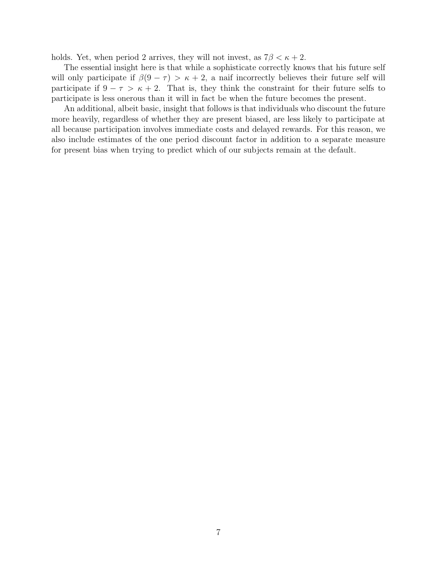holds. Yet, when period 2 arrives, they will not invest, as  $7\beta < \kappa + 2$ .

The essential insight here is that while a sophisticate correctly knows that his future self will only participate if  $\beta(9 - \tau) > \kappa + 2$ , a naif incorrectly believes their future self will participate if  $9 - \tau > \kappa + 2$ . That is, they think the constraint for their future selfs to participate is less onerous than it will in fact be when the future becomes the present.

An additional, albeit basic, insight that follows is that individuals who discount the future more heavily, regardless of whether they are present biased, are less likely to participate at all because participation involves immediate costs and delayed rewards. For this reason, we also include estimates of the one period discount factor in addition to a separate measure for present bias when trying to predict which of our subjects remain at the default.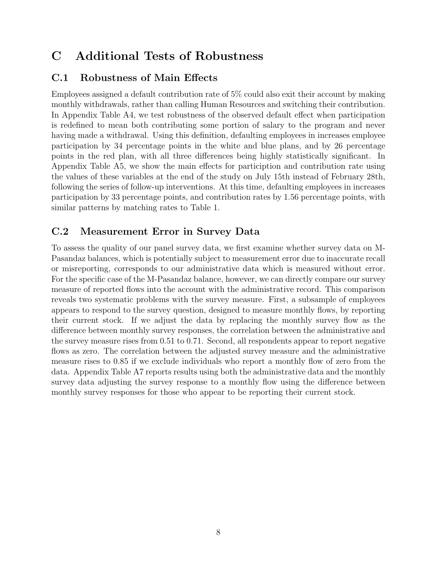# <span id="page-7-0"></span>C Additional Tests of Robustness

## <span id="page-7-1"></span>C.1 Robustness of Main Effects

Employees assigned a default contribution rate of 5% could also exit their account by making monthly withdrawals, rather than calling Human Resources and switching their contribution. In Appendix Table [A4,](#page-15-0) we test robustness of the observed default effect when participation is redefined to mean both contributing some portion of salary to the program and never having made a withdrawal. Using this definition, defaulting employees in increases employee participation by 34 percentage points in the white and blue plans, and by 26 percentage points in the red plan, with all three differences being highly statistically significant. In Appendix Table [A5,](#page-16-0) we show the main effects for particiption and contribution rate using the values of these variables at the end of the study on July 15th instead of February 28th, following the series of follow-up interventions. At this time, defaulting employees in increases participation by 33 percentage points, and contribution rates by 1.56 percentage points, with similar patterns by matching rates to Table 1.

## <span id="page-7-2"></span>C.2 Measurement Error in Survey Data

To assess the quality of our panel survey data, we first examine whether survey data on M-Pasandaz balances, which is potentially subject to measurement error due to inaccurate recall or misreporting, corresponds to our administrative data which is measured without error. For the specific case of the M-Pasandaz balance, however, we can directly compare our survey measure of reported flows into the account with the administrative record. This comparison reveals two systematic problems with the survey measure. First, a subsample of employees appears to respond to the survey question, designed to measure monthly flows, by reporting their current stock. If we adjust the data by replacing the monthly survey flow as the difference between monthly survey responses, the correlation between the administrative and the survey measure rises from 0.51 to 0.71. Second, all respondents appear to report negative flows as zero. The correlation between the adjusted survey measure and the administrative measure rises to 0.85 if we exclude individuals who report a monthly flow of zero from the data. Appendix Table [A7](#page-18-0) reports results using both the administrative data and the monthly survey data adjusting the survey response to a monthly flow using the difference between monthly survey responses for those who appear to be reporting their current stock.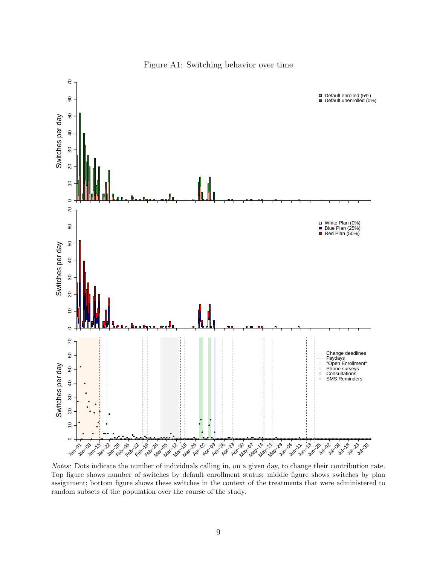<span id="page-8-0"></span>

Figure A1: Switching behavior over time

Notes: Dots indicate the number of individuals calling in, on a given day, to change their contribution rate. Top figure shows number of switches by default enrollment status; middle figure shows switches by plan assignment; bottom figure shows these switches in the context of the treatments that were administered to random subsets of the population over the course of the study.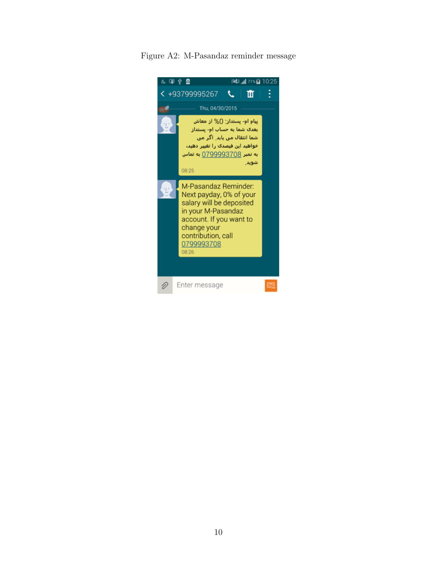<span id="page-9-0"></span>Figure A2: M-Pasandaz reminder message

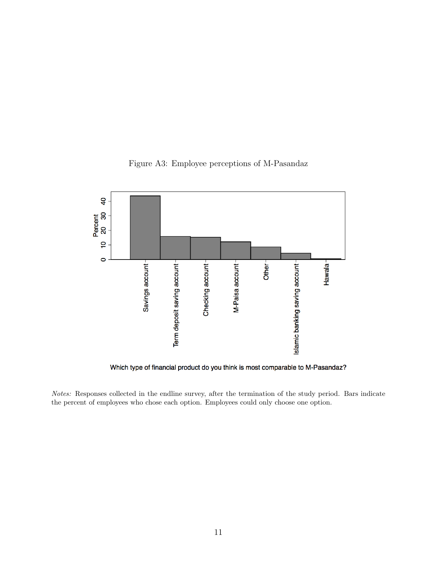<span id="page-10-0"></span>

Figure A3: Employee perceptions of M-Pasandaz

Which type of financial product do you think is most comparable to M-Pasandaz?

Notes: Responses collected in the endline survey, after the termination of the study period. Bars indicate the percent of employees who chose each option. Employees could only choose one option.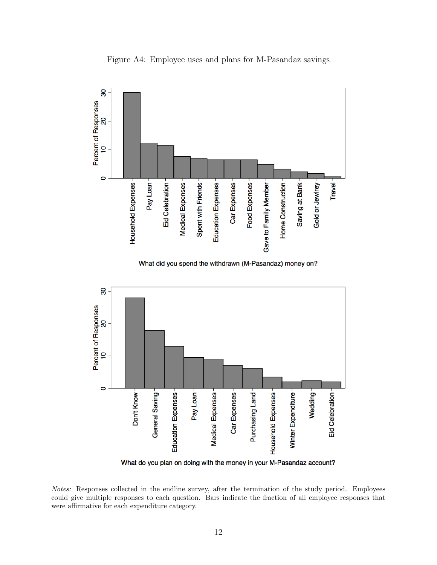<span id="page-11-0"></span>

Figure A4: Employee uses and plans for M-Pasandaz savings

What do you plan on doing with the money in your M-Pasandaz account?

Notes: Responses collected in the endline survey, after the termination of the study period. Employees could give multiple responses to each question. Bars indicate the fraction of all employee responses that were affirmative for each expenditure category.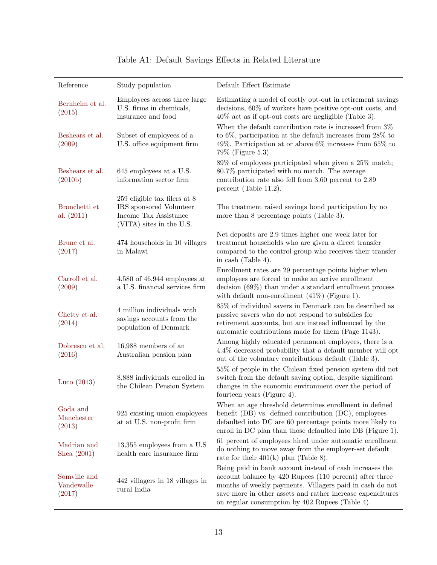<span id="page-12-0"></span>

| Reference                               | Study population                                                                                               | Default Effect Estimate                                                                                                                                                                                                                                                                          |
|-----------------------------------------|----------------------------------------------------------------------------------------------------------------|--------------------------------------------------------------------------------------------------------------------------------------------------------------------------------------------------------------------------------------------------------------------------------------------------|
| Bernheim et al.<br>(2015)               | Employees across three large<br>U.S. firms in chemicals,<br>insurance and food                                 | Estimating a model of costly opt-out in retirement savings<br>decisions, 60% of workers have positive opt-out costs, and<br>$40\%$ act as if opt-out costs are negligible (Table 3).                                                                                                             |
| Beshears et al.<br>(2009)               | Subset of employees of a<br>U.S. office equipment firm                                                         | When the default contribution rate is increased from $3\%$<br>to $6\%$ , participation at the default increases from $28\%$ to<br>49%. Participation at or above $6\%$ increases from $65\%$ to<br>79\% (Figure 5.3).                                                                            |
| Beshears et al.<br>(2010 <sub>b</sub> ) | 645 employees at a U.S.<br>information sector firm                                                             | 89% of employees participated when given a 25% match;<br>80.7% participated with no match. The average<br>contribution rate also fell from 3.60 percent to 2.89<br>percent (Table 11.2).                                                                                                         |
| Bronchetti et<br>al. $(2011)$           | $259$ eligible tax filers at 8<br>IRS sponsored Volunteer<br>Income Tax Assistance<br>(VITA) sites in the U.S. | The treatment raised savings bond participation by no<br>more than 8 percentage points (Table 3).                                                                                                                                                                                                |
| Brune et al.<br>(2017)                  | 474 households in 10 villages<br>in Malawi                                                                     | Net deposits are 2.9 times higher one week later for<br>treatment households who are given a direct transfer<br>compared to the control group who receives their transfer<br>in cash (Table 4).                                                                                                  |
| Carroll et al.<br>(2009)                | $4,580$ of $46,944$ employees at<br>a U.S. financial services firm                                             | Enrollment rates are 29 percentage points higher when<br>employees are forced to make an active enrollment<br>decision $(69\%)$ than under a standard enrollment process<br>with default non-enrollment $(41\%)$ (Figure 1).                                                                     |
| Chetty et al.<br>(2014)                 | 4 million individuals with<br>savings accounts from the<br>population of Denmark                               | 85% of individual savers in Denmark can be described as<br>passive savers who do not respond to subsidies for<br>retirement accounts, but are instead influenced by the<br>automatic contributions made for them (Page 1143).                                                                    |
| Dobrescu et al.<br>(2016)               | 16,988 members of an<br>Australian pension plan                                                                | Among highly educated permanent employees, there is a<br>4.4% decreased probability that a default member will opt<br>out of the voluntary contributions default (Table 3).                                                                                                                      |
| Luco $(2013)$                           | 8,888 individuals enrolled in<br>the Chilean Pension System                                                    | 55% of people in the Chilean fixed pension system did not<br>switch from the default saving option, despite significant<br>changes in the economic environment over the period of<br>fourteen years (Figure 4).                                                                                  |
| Goda and<br>Manchester<br>(2013)        | 925 existing union employees<br>at at U.S. non-profit firm                                                     | When an age threshold determines enrollment in defined<br>benefit $(DB)$ vs. defined contribution $(DC)$ , employees<br>defaulted into DC are $60$ percentage points more likely to<br>enroll in DC plan than those defaulted into DB (Figure 1).                                                |
| Madrian and<br>Shea $(2001)$            | $13,355$ employees from a U.S<br>health care insurance firm                                                    | 61 percent of employees hired under automatic enrollment<br>do nothing to move away from the employer-set default<br>rate for their $401(k)$ plan (Table 8).                                                                                                                                     |
| Somville and<br>Vandewalle<br>(2017)    | 442 villagers in 18 villages in<br>rural India                                                                 | Being paid in bank account instead of cash increases the<br>account balance by 420 Rupees (110 percent) after three<br>months of weekly payments. Villagers paid in cash do not<br>save more in other assets and rather increase expenditures<br>on regular consumption by 402 Rupees (Table 4). |

## Table A1: Default Savings Effects in Related Literature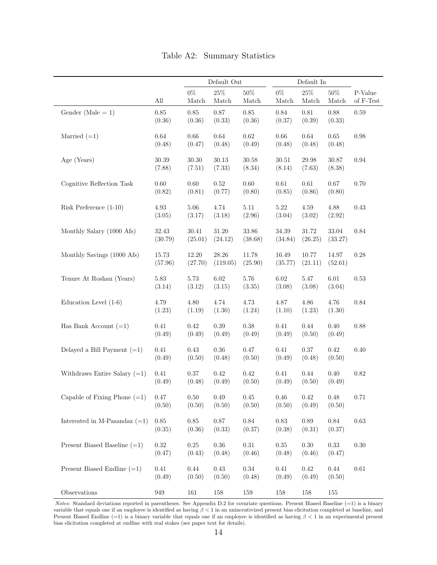<span id="page-13-0"></span>

|                                 |                     |                     | Default Out         |                      |                     | Default In           |                    |                      |
|---------------------------------|---------------------|---------------------|---------------------|----------------------|---------------------|----------------------|--------------------|----------------------|
|                                 | All                 | $0\%$<br>Match      | 25%<br>Match        | $50\%$<br>Match      | $0\%$<br>Match      | $25\%$<br>Match      | $50\%$<br>Match    | P-Value<br>of F-Test |
| Gender (Male $= 1$ )            | 0.85<br>(0.36)      | 0.85<br>(0.36)      | 0.87<br>(0.33)      | 0.85<br>(0.36)       | 0.84<br>(0.37)      | $0.81\,$<br>(0.39)   | 0.88<br>(0.33)     | 0.59                 |
| Married $(=1)$                  | 0.64<br>(0.48)      | 0.66<br>(0.47)      | $0.64\,$<br>(0.48)  | 0.62<br>(0.49)       | 0.66<br>(0.48)      | 0.64<br>(0.48)       | 0.65<br>(0.48)     | 0.98                 |
| Age (Years)                     | $30.39\,$<br>(7.88) | $30.30\,$<br>(7.51) | $30.13\,$<br>(7.33) | $30.58\,$<br>(8.34)  | $30.51\,$<br>(8.14) | $29.98\,$<br>(7.63)  | 30.87<br>(8.38)    | 0.94                 |
| Cognitive Reflection Task       | 0.60<br>(0.82)      | $0.60\,$<br>(0.81)  | $0.52\,$<br>(0.77)  | 0.60<br>(0.80)       | $0.61\,$<br>(0.85)  | $0.61\,$<br>(0.86)   | $0.67\,$<br>(0.80) | 0.70                 |
| Risk Preference $(1-10)$        | 4.93<br>(3.05)      | $5.06\,$<br>(3.17)  | 4.74<br>(3.18)      | $5.11$<br>(2.96)     | $5.22\,$<br>(3.04)  | $4.59\,$<br>(3.02)   | 4.88<br>(2.92)     | 0.43                 |
| Monthly Salary (1000 Afs)       | 32.43<br>(30.79)    | 30.41<br>(25.01)    | 31.20<br>(24.12)    | $33.86\,$<br>(38.68) | 34.39<br>(34.84)    | $31.72\,$<br>(26.25) | 33.04<br>(33.27)   | 0.84                 |
| Monthly Savings (1000 Afs)      | 15.73<br>(57.96)    | 12.20<br>(27.70)    | 28.26<br>(119.05)   | 11.78<br>(25.90)     | 16.49<br>(35.77)    | 10.77<br>(21.11)     | 14.97<br>(52.61)   | 0.28                 |
| Tenure At Roshan (Years)        | 5.83<br>(3.14)      | $5.73\,$<br>(3.12)  | $6.02\,$<br>(3.15)  | 5.76<br>(3.35)       | $6.02\,$<br>(3.08)  | $5.47\,$<br>(3.08)   | $6.01\,$<br>(3.04) | 0.53                 |
| Education Level $(1-6)$         | 4.79<br>(1.23)      | $4.80\,$<br>(1.19)  | 4.74<br>(1.30)      | 4.73<br>(1.24)       | 4.87<br>(1.10)      | $4.86\,$<br>(1.23)   | 4.76<br>(1.30)     | 0.84                 |
| Has Bank Account $(=1)$         | 0.41<br>(0.49)      | 0.42<br>(0.49)      | 0.39<br>(0.49)      | 0.38<br>(0.49)       | 0.41<br>(0.49)      | 0.44<br>(0.50)       | 0.40<br>(0.49)     | 0.88                 |
| Delayed a Bill Payment $(=1)$   | 0.41<br>(0.49)      | 0.43<br>(0.50)      | $0.36\,$<br>(0.48)  | 0.47<br>(0.50)       | 0.41<br>(0.49)      | 0.37<br>(0.48)       | 0.42<br>(0.50)     | 0.40                 |
| Withdraws Entire Salary $(=1)$  | 0.41<br>(0.49)      | $0.37\,$<br>(0.48)  | $0.42\,$<br>(0.49)  | 0.42<br>(0.50)       | 0.41<br>(0.49)      | $0.44\,$<br>(0.50)   | $0.40\,$<br>(0.49) | 0.82                 |
| Capable of Fixing Phone $(=1)$  | 0.47<br>(0.50)      | $0.50\,$<br>(0.50)  | 0.49<br>(0.50)      | 0.45<br>(0.50)       | $0.46\,$<br>(0.50)  | $0.42\,$<br>(0.49)   | 0.48<br>(0.50)     | 0.71                 |
| Interested in M-Pasandaz $(=1)$ | $0.85\,$<br>(0.35)  | $0.85\,$<br>(0.36)  | $0.87\,$<br>(0.33)  | $0.84\,$<br>(0.37)   | $0.83\,$<br>(0.38)  | $0.89\,$<br>(0.31)   | $0.84\,$<br>(0.37) | 0.63                 |
| Present Biased Baseline $(=1)$  | 0.32<br>(0.47)      | 0.25<br>(0.43)      | 0.36<br>(0.48)      | $0.31\,$<br>(0.46)   | 0.35<br>(0.48)      | 0.30<br>(0.46)       | 0.33<br>(0.47)     | 0.30                 |
| Present Biased Endline $(=1)$   | 0.41<br>(0.49)      | 0.44<br>(0.50)      | 0.43<br>(0.50)      | $0.34\,$<br>(0.48)   | 0.41<br>(0.49)      | 0.42<br>(0.49)       | 0.44<br>(0.50)     | 0.61                 |
| Observations                    | $949\,$             | 161                 | 158                 | 159                  | 158                 | 158                  | $155\,$            |                      |

Table A2: Summary Statistics

Notes: Standard deviations reported in parentheses. See Appendix [D.2](#page-37-0) for covariate questions. Present Biased Baseline (=1) is a binary variable that equals one if an employee is identified as having  $\beta < 1$  in an unincentivized present bias elicitation completed at baseline, and Present Biased Endline (=1) is a binary variable that equals one if an employee is identified as having  $\beta < 1$  in an experimental present bias elicitation completed at endline with real stakes (see paper text for details).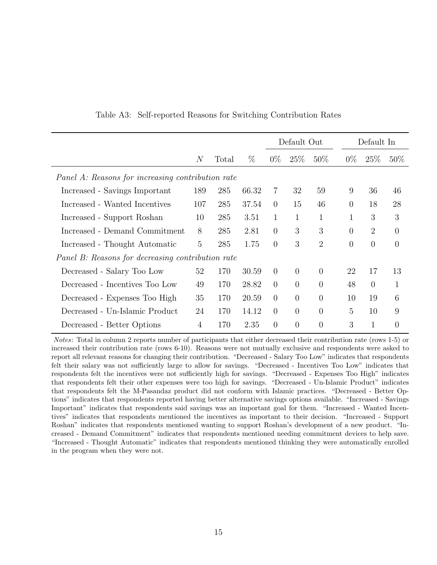<span id="page-14-0"></span>

|                                                   |                |       |       |                | Default Out    |                |                | Default In     |                |
|---------------------------------------------------|----------------|-------|-------|----------------|----------------|----------------|----------------|----------------|----------------|
|                                                   | N              | Total | $\%$  | $0\%$          | $25\%$         | $50\%$         | $0\%$          | $25\%$         | $50\%$         |
| Panel A: Reasons for increasing contribution rate |                |       |       |                |                |                |                |                |                |
| Increased - Savings Important                     | 189            | 285   | 66.32 | 7              | 32             | 59             | 9              | 36             | 46             |
| Increased - Wanted Incentives                     | 107            | 285   | 37.54 | $\theta$       | 15             | 46             | $\overline{0}$ | 18             | 28             |
| Increased - Support Roshan                        | 10             | 285   | 3.51  | $\mathbf{1}$   | $\mathbf{1}$   | 1              | 1              | 3              | 3              |
| Increased - Demand Commitment                     | 8              | 285   | 2.81  | $\theta$       | 3              | 3              | $\Omega$       | $\overline{2}$ | $\theta$       |
| Increased - Thought Automatic                     | $\overline{5}$ | 285   | 1.75  | $\theta$       | 3              | $\overline{2}$ | $\overline{0}$ | $\overline{0}$ | $\overline{0}$ |
| Panel B: Reasons for decreasing contribution rate |                |       |       |                |                |                |                |                |                |
| Decreased - Salary Too Low                        | 52             | 170   | 30.59 | $\overline{0}$ | $\theta$       | $\overline{0}$ | 22             | 17             | 13             |
| Decreased - Incentives Too Low                    | 49             | 170   | 28.82 | $\theta$       | $\theta$       | $\overline{0}$ | 48             | $\overline{0}$ | $\mathbf{1}$   |
| Decreased - Expenses Too High                     | 35             | 170   | 20.59 | $\theta$       | $\overline{0}$ | $\overline{0}$ | 10             | 19             | 6              |
| Decreased - Un-Islamic Product                    | 24             | 170   | 14.12 | $\theta$       | $\theta$       | $\overline{0}$ | $\overline{5}$ | 10             | 9              |
| Decreased - Better Options                        | 4              | 170   | 2.35  | $\overline{0}$ | $\overline{0}$ | $\overline{0}$ | 3              | $\mathbf{1}$   | 0              |

Table A3: Self-reported Reasons for Switching Contribution Rates

Notes: Total in column 2 reports number of participants that either decreased their contribution rate (rows 1-5) or increased their contribution rate (rows 6-10). Reasons were not mutually exclusive and respondents were asked to report all relevant reasons for changing their contribution. "Decreased - Salary Too Low" indicates that respondents felt their salary was not sufficiently large to allow for savings. "Decreased - Incentives Too Low" indicates that respondents felt the incentives were not sufficiently high for savings. "Decreased - Expenses Too High" indicates that respondents felt their other expenses were too high for savings. "Decreased - Un-Islamic Product" indicates that respondents felt the M-Pasandaz product did not conform with Islamic practices. "Decreased - Better Options" indicates that respondents reported having better alternative savings options available. "Increased - Savings Important" indicates that respondents said savings was an important goal for them. "Increased - Wanted Incentives" indicates that respondents mentioned the incentives as important to their decision. "Increased - Support Roshan" indicates that respondents mentioned wanting to support Roshan's development of a new product. "Increased - Demand Commitment" indicates that respondents mentioned needing commitment devices to help save. "Increased - Thought Automatic" indicates that respondents mentioned thinking they were automatically enrolled in the program when they were not.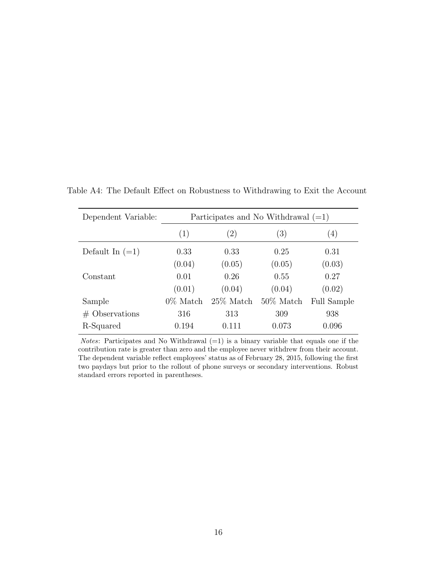| Dependent Variable: |             |                   | Participates and No Withdrawal $(=1)$ |                    |
|---------------------|-------------|-------------------|---------------------------------------|--------------------|
|                     | (1)         | $\left( 2\right)$ | (3)                                   | (4)                |
| Default In $(=1)$   | 0.33        | 0.33              | 0.25                                  | 0.31               |
|                     | (0.04)      | (0.05)            | (0.05)                                | (0.03)             |
| Constant            | 0.01        | 0.26              | 0.55                                  | 0.27               |
|                     | (0.01)      | (0.04)            | (0.04)                                | (0.02)             |
| Sample              | $0\%$ Match | $25\%$ Match      | $50\%$ Match                          | <b>Full Sample</b> |
| $#$ Observations    | 316         | 313               | 309                                   | 938                |
| R-Squared           | 0.194       | 0.111             | 0.073                                 | 0.096              |

<span id="page-15-0"></span>Table A4: The Default Effect on Robustness to Withdrawing to Exit the Account

*Notes*: Participates and No Withdrawal  $(=1)$  is a binary variable that equals one if the contribution rate is greater than zero and the employee never withdrew from their account. The dependent variable reflect employees' status as of February 28, 2015, following the first two paydays but prior to the rollout of phone surveys or secondary interventions. Robust standard errors reported in parentheses.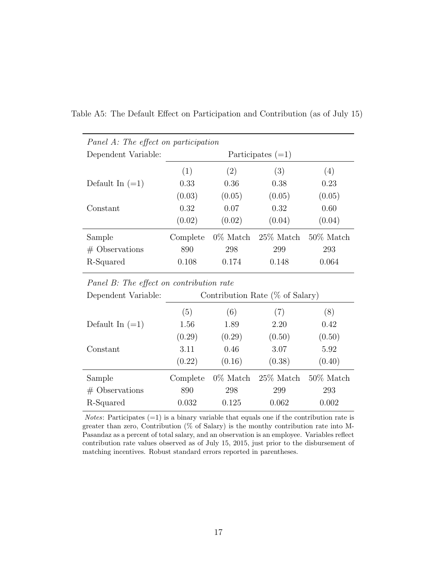| Panel A: The effect on participation |          |             |                     |                   |
|--------------------------------------|----------|-------------|---------------------|-------------------|
| Dependent Variable:                  |          |             | Participates $(=1)$ |                   |
|                                      | (1)      | (2)         | (3)                 | $\left( 4\right)$ |
| Default In $(=1)$                    | 0.33     | 0.36        | 0.38                | 0.23              |
|                                      | (0.03)   | (0.05)      | (0.05)              | (0.05)            |
| Constant                             | 0.32     | 0.07        | 0.32                | 0.60              |
|                                      | (0.02)   | (0.02)      | (0.04)              | (0.04)            |
| Sample                               | Complete | $0\%$ Match | $25\%$ Match        | $50\%$ Match      |
| $#$ Observations                     | 890      | 298         | 299                 | 293               |
| R-Squared                            | 0.108    | 0.174       | 0.148               | 0.064             |

<span id="page-16-0"></span>Table A5: The Default Effect on Participation and Contribution (as of July 15)

Panel B: The effect on contribution rate

| Dependent Variable: |          |             | Contribution Rate $(\%$ of Salary) |              |
|---------------------|----------|-------------|------------------------------------|--------------|
|                     | (5)      | (6)         | (7)                                | (8)          |
| Default In $(=1)$   | 1.56     | 1.89        | 2.20                               | 0.42         |
|                     | (0.29)   | (0.29)      | (0.50)                             | (0.50)       |
| Constant            | 3.11     | 0.46        | 3.07                               | 5.92         |
|                     | (0.22)   | (0.16)      | (0.38)                             | (0.40)       |
| Sample              | Complete | $0\%$ Match | $25\%$ Match                       | $50\%$ Match |
| $#$ Observations    | 890      | 298         | 299                                | 293          |
| R-Squared           | 0.032    | 0.125       | 0.062                              | 0.002        |

*Notes*: Participates  $(=1)$  is a binary variable that equals one if the contribution rate is greater than zero, Contribution (% of Salary) is the monthy contribution rate into M-Pasandaz as a percent of total salary, and an observation is an employee. Variables reflect contribution rate values observed as of July 15, 2015, just prior to the disbursement of matching incentives. Robust standard errors reported in parentheses.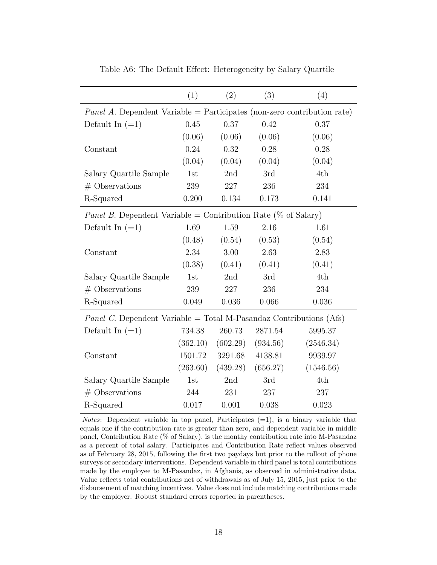<span id="page-17-0"></span>

|                                                                                | (1)      | (2)      | (3)      | (4)       |
|--------------------------------------------------------------------------------|----------|----------|----------|-----------|
| <i>Panel A.</i> Dependent Variable = Participates (non-zero contribution rate) |          |          |          |           |
| Default In $(=1)$                                                              | 0.45     | 0.37     | 0.42     | 0.37      |
|                                                                                | (0.06)   | (0.06)   | (0.06)   | (0.06)    |
| Constant                                                                       | 0.24     | 0.32     | 0.28     | 0.28      |
|                                                                                | (0.04)   | (0.04)   | (0.04)   | (0.04)    |
| Salary Quartile Sample                                                         | 1st      | 2nd      | 3rd      | 4th       |
| $#$ Observations                                                               | 239      | 227      | 236      | 234       |
| R-Squared                                                                      | 0.200    | 0.134    | 0.173    | 0.141     |
| <i>Panel B.</i> Dependent Variable = Contribution Rate (% of Salary)           |          |          |          |           |
| Default In $(=1)$                                                              | 1.69     | 1.59     | 2.16     | 1.61      |
|                                                                                | (0.48)   | (0.54)   | (0.53)   | (0.54)    |
| Constant                                                                       | 2.34     | 3.00     | 2.63     | 2.83      |
|                                                                                | (0.38)   | (0.41)   | (0.41)   | (0.41)    |
| Salary Quartile Sample                                                         | 1st      | 2nd      | 3rd      | 4th       |
| $#$ Observations                                                               | 239      | 227      | 236      | 234       |
| R-Squared                                                                      | 0.049    | 0.036    | 0.066    | 0.036     |
| <i>Panel C.</i> Dependent Variable = Total M-Pasandaz Contributions (Afs)      |          |          |          |           |
| Default In $(=1)$                                                              | 734.38   | 260.73   | 2871.54  | 5995.37   |
|                                                                                | (362.10) | (602.29) | (934.56) | (2546.34) |
| Constant                                                                       | 1501.72  | 3291.68  | 4138.81  | 9939.97   |
|                                                                                | (263.60) | (439.28) | (656.27) | (1546.56) |
| Salary Quartile Sample                                                         | 1st      | 2nd      | 3rd      | 4th       |
| $#$ Observations                                                               | 244      | 231      | 237      | 237       |
| R-Squared                                                                      | 0.017    | 0.001    | 0.038    | 0.023     |

Table A6: The Default Effect: Heterogeneity by Salary Quartile

*Notes*: Dependent variable in top panel, Participates  $(=1)$ , is a binary variable that equals one if the contribution rate is greater than zero, and dependent variable in middle panel, Contribution Rate (% of Salary), is the monthy contribution rate into M-Pasandaz as a percent of total salary. Participates and Contribution Rate reflect values observed as of February 28, 2015, following the first two paydays but prior to the rollout of phone surveys or secondary interventions. Dependent variable in third panel is total contributions made by the employee to M-Pasandaz, in Afghanis, as observed in administrative data. Value reflects total contributions net of withdrawals as of July 15, 2015, just prior to the disbursement of matching incentives. Value does not include matching contributions made by the employer. Robust standard errors reported in parentheses.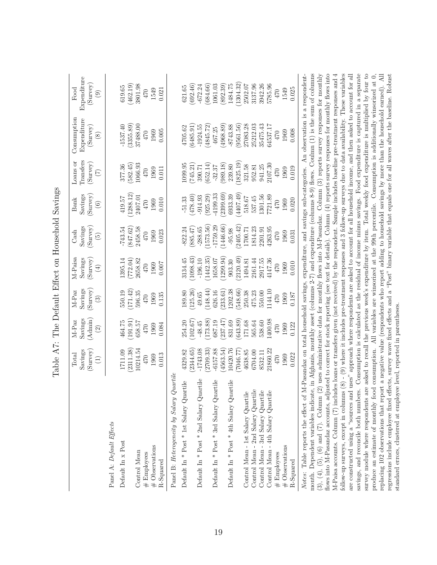|                                                                                                                                                                                                                                                                                                                                                                                                                                                                 | Total                   | M-Paz                  | M-Paz               | M-Paisa                 | Cash                             | <b>Bank</b>         | Loans or                    | Consumption                                                                                                   | Food          |
|-----------------------------------------------------------------------------------------------------------------------------------------------------------------------------------------------------------------------------------------------------------------------------------------------------------------------------------------------------------------------------------------------------------------------------------------------------------------|-------------------------|------------------------|---------------------|-------------------------|----------------------------------|---------------------|-----------------------------|---------------------------------------------------------------------------------------------------------------|---------------|
|                                                                                                                                                                                                                                                                                                                                                                                                                                                                 | Savings                 | Savings                | Savings             | Savings                 | Savings                          | Savings             | Transfers                   | Expenditure                                                                                                   | Expenditure   |
|                                                                                                                                                                                                                                                                                                                                                                                                                                                                 | (Survey)<br>$\bigoplus$ | (Admin)<br>$\boxed{2}$ | (Survey)<br>$\odot$ | (Survey)<br>$\bigoplus$ | (Survey)<br>$\widetilde{\Theta}$ | (Survey)<br>$\odot$ | (Survey)<br>$\widetilde{C}$ | $(S_{\text{urvey}})$<br>$\circledast$                                                                         | (Survey)<br>ම |
| Panel A: Default Effects                                                                                                                                                                                                                                                                                                                                                                                                                                        |                         |                        |                     |                         |                                  |                     |                             |                                                                                                               |               |
| Default In x Post                                                                                                                                                                                                                                                                                                                                                                                                                                               | 1711.09                 | 464.75                 | 550.19              | 1395.14                 | $-743.54$                        | 419.57              | 377.36                      | $-1537.40$                                                                                                    | 619.65        |
|                                                                                                                                                                                                                                                                                                                                                                                                                                                                 | (2311.38)               | (191.91)               | 171.42              | (772.04)                | (847.62)                         | 1288.12             | 582.45                      | (3355.89)                                                                                                     | (462.19)      |
| Control Mean                                                                                                                                                                                                                                                                                                                                                                                                                                                    | 10214.54                | 658.57                 | 596.35              | 2658.82                 | 2458.58                          | 2407.01             | 1066.93                     | 37488.00                                                                                                      | 3801.98       |
| $\#$ Employees                                                                                                                                                                                                                                                                                                                                                                                                                                                  | 470                     | 470                    | 470                 | 470                     | 470                              | 470                 | 470                         | 470                                                                                                           | $470\,$       |
| $\#$ Observations<br>R-Squared                                                                                                                                                                                                                                                                                                                                                                                                                                  | 0.013<br>1969           | 1969<br>0.084          | 1969<br>0.135       | 1969<br>0.007           | 1969<br>0.023                    | 0.010<br>1969       | 1969<br>0.011               | 0.005<br>1969                                                                                                 | 1549<br>0.021 |
| Panel B: Heterogeneity by Salary Quartile                                                                                                                                                                                                                                                                                                                                                                                                                       |                         |                        |                     |                         |                                  |                     |                             |                                                                                                               |               |
| Default In * Post * 1st Salary Quartile                                                                                                                                                                                                                                                                                                                                                                                                                         | 4329.82                 | 254.20                 | 189.80              | 3134.45                 | $-822.24$                        | $-51.33$            | 1099.95                     | 4705.62                                                                                                       | 621.65        |
|                                                                                                                                                                                                                                                                                                                                                                                                                                                                 | 2344.65                 | (102.67)               | 125.26              | 1098.43                 | (885.47)                         | (05.874)            | (745.21)                    | (6485.91)                                                                                                     | (692.46)      |
| Default In * Post * 2nd Salary Quartile                                                                                                                                                                                                                                                                                                                                                                                                                         | $-1743.08$              | $-48.45$               | 49.65               | $-196.10$               | $-288.65$                        | $-914.93$           | 390.71                      | $-1924.55$                                                                                                    | $-672.24$     |
|                                                                                                                                                                                                                                                                                                                                                                                                                                                                 | 2709.33                 | (173.88)               | 148.44)             | 1442.35                 | 1573.56)                         | (925.29)            | (652.14)                    | 4845.72                                                                                                       | (684.66)      |
| Default In * Post * 3rd Salary Quartile                                                                                                                                                                                                                                                                                                                                                                                                                         | $-6157.88$              | 687.19                 | 626.16              | 1658.07                 | $-1759.29$                       | 4199.33             | $-32.37$                    | 467.25                                                                                                        | 1061.03       |
|                                                                                                                                                                                                                                                                                                                                                                                                                                                                 | 4563.54)                | (237.47)               | (233.61)            | (1299.94)               | 1446.66)                         | 2399.69)            | (989.18)                    | (4968.89)                                                                                                     | (892.39)      |
| Default In * Post * 4th Salary Quartile                                                                                                                                                                                                                                                                                                                                                                                                                         | 10420.76                | 831.69                 | 1202.38             | 903.30                  | $-95.98$                         | 6933.39             | 239.80                      | 8743.88                                                                                                       | 1484.75       |
|                                                                                                                                                                                                                                                                                                                                                                                                                                                                 | 7046.77                 | (643.89)               | 548.66)             | 2120.49                 | 2405.42                          | 4407.49)            | 1825.19                     | (9561.56)                                                                                                     | (1304.32)     |
| Control Mean - 1st Salary Quartile                                                                                                                                                                                                                                                                                                                                                                                                                              | 4638.85                 | $171.68\,$             | 250.38              | 1494.81                 | 1700.71                          | 518.67              | 321.58                      | 27083.28                                                                                                      | 2502.07       |
| Control Mean - 2nd Salary Quartile                                                                                                                                                                                                                                                                                                                                                                                                                              | 6704.00                 | 565.64                 | 475.23              | 2161.44                 | 1814.23                          | 537.45              | 952.81                      | 25212.03                                                                                                      | 3137.96       |
| Control Mean - 3rd Salary Quartile                                                                                                                                                                                                                                                                                                                                                                                                                              | 8532.11                 | 538.60                 | 550.00              | 2917.55                 | 2201.91                          | 1301.56             | 941.25                      | 35475.43                                                                                                      | 3942.26       |
| Control Mean - 4th Salary Quartile                                                                                                                                                                                                                                                                                                                                                                                                                              | 21860.22                | 1400.98                | 1144.10             | 4147.36                 | 4263.95                          | 7721.89             | 2107.30                     | 64537.17                                                                                                      | 5785.96       |
| # Employees                                                                                                                                                                                                                                                                                                                                                                                                                                                     | 470                     | $01\bar{t}$            | 470                 | 470                     | 470                              | 0.17                | 470                         | 470                                                                                                           | 024           |
| # Observations                                                                                                                                                                                                                                                                                                                                                                                                                                                  | 1969                    | 1969                   | 1969                | 1969                    | 1969                             | 1969                | 1969                        | 1969                                                                                                          | 1549          |
| R-Squared                                                                                                                                                                                                                                                                                                                                                                                                                                                       | 0.022                   | 0.122                  | 0.187               | 0.010                   | 0.031                            | 0.020               | 0.019                       | 0.008                                                                                                         | 0.025         |
| month. Dependent variables indicate, in Afghanis, monthly asset (columns 2-7) and expenditure (columns 8-9) flows. Coulmn (1) is the sum of columns<br>(3), (4), (5), (6) and (7). Column (2) uses administrative data for monthly flows into M-Pasandaz. Column (3) reports survey responses for monthly<br>Notes: Table reports the effect of M-Pasandaz on total household savings, expenditure, and savings sub-categories. An observation is a respondent- |                         |                        |                     |                         |                                  |                     |                             |                                                                                                               |               |
| flows into M-Pasandaz accounts, adjusted to correct for stock reporting (see text for details). Column $(4)$ reports survey responses for monthly flows into<br>M-Paisa accounts. Column (7) includes loans or transfers given (not received) by the respondent. Sample includes baseline pre-treatment responses and 4                                                                                                                                         |                         |                        |                     |                         |                                  |                     |                             |                                                                                                               |               |
| follow-up surveys, except in columns $(8)$ – $(9)$ where it includes pre-treatment responses and 3 follow-up surveys due to data availability. These variables                                                                                                                                                                                                                                                                                                  |                         |                        |                     |                         |                                  |                     |                             |                                                                                                               |               |
| are constructed using a "sources and uses" approach where respondents are asked to account for all household income, and then asked to account for all                                                                                                                                                                                                                                                                                                          |                         |                        |                     |                         |                                  |                     |                             |                                                                                                               |               |
| savings, and reconcile both numbers.                                                                                                                                                                                                                                                                                                                                                                                                                            |                         |                        |                     |                         |                                  |                     |                             | Consumption is calculated as the residual of income minus savings. Food expenditure is captured in a separate |               |
| survey module where respondents are asked to recall the previous week's expenditure by item. Total weekly food expenditure is multiplied by four to                                                                                                                                                                                                                                                                                                             |                         |                        |                     |                         |                                  |                     |                             |                                                                                                               |               |
| replacing 102 observations that report a negative value (respondents who report adding to household savings by more than the household earned). All<br>produce an estimate of monthly food consumption.                                                                                                                                                                                                                                                         |                         |                        |                     |                         |                                  |                     |                             | All variables are winsorized at the 99th percentile. Consumption is additionally winsorized at 0,             |               |
| regressions include employee fixed effects, survey wave fixed effects and a "Post" binary variable that equals one for all waves after the baseline. Robust                                                                                                                                                                                                                                                                                                     |                         |                        |                     |                         |                                  |                     |                             |                                                                                                               |               |
| standard errors, clustered at employee level, reported in parentheses.                                                                                                                                                                                                                                                                                                                                                                                          |                         |                        |                     |                         |                                  |                     |                             |                                                                                                               |               |

<span id="page-18-0"></span>Table A7: The Default Effect on Household Savings Table A7: The Default Effect on Household Savings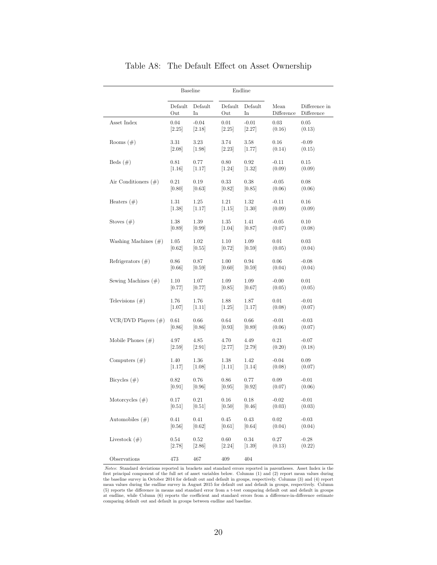<span id="page-19-0"></span>

|                         |          | <b>Baseline</b> |          | Endline  |            |               |
|-------------------------|----------|-----------------|----------|----------|------------|---------------|
|                         | Default  | Default         | Default  | Default  | Mean       | Difference in |
|                         | Out      | In              | Out      | In       | Difference | Difference    |
| Asset Index             | 0.04     | $-0.04$         | 0.01     | $-0.01$  | 0.03       | 0.05          |
|                         | [2.25]   | [2.18]          | [2.25]   | [2.27]   | (0.16)     | (0.13)        |
| Rooms $(\#)$            | 3.31     | 3.23            | 3.74     | $3.58\,$ | 0.16       | $-0.09$       |
|                         | [2.08]   | $[1.98]$        | $[2.23]$ | [1.77]   | (0.14)     | (0.15)        |
| Beds $(\#)$             | 0.81     | 0.77            | 0.80     | 0.92     | $-0.11$    | 0.15          |
|                         | [1.16]   | [1.17]          | $[1.24]$ | $[1.32]$ | (0.09)     | (0.09)        |
| Air Conditioners $(\#)$ | 0.21     | 0.19            | 0.33     | 0.38     | $-0.05$    | 0.08          |
|                         | [0.80]   | [0.63]          | [0.82]   | [0.85]   | (0.06)     | (0.06)        |
| Heaters $(\#)$          | 1.31     | 1.25            | 1.21     | 1.32     | $-0.11$    | 0.16          |
|                         | $[1.38]$ | [1.17]          | [1.15]   | $[1.30]$ | (0.09)     | (0.09)        |
| Stoves $(\#)$           | 1.38     | 1.39            | 1.35     | 1.41     | $-0.05$    | 0.10          |
|                         | [0.89]   | [0.99]          | $[1.04]$ | [0.87]   | (0.07)     | (0.08)        |
| Washing Machines $(\#)$ | 1.05     | 1.02            | 1.10     | 1.09     | 0.01       | 0.03          |
|                         | [0.62]   | [0.55]          | [0.72]   | [0.59]   | (0.05)     | (0.04)        |
| Refrigerators $(\#)$    | $0.86\,$ | 0.87            | 1.00     | 0.94     | 0.06       | $-0.08$       |
|                         | [0.66]   | [0.59]          | [0.60]   | [0.59]   | (0.04)     | (0.04)        |
| Sewing Machines $(\#)$  | 1.10     | 1.07            | 1.09     | 1.09     | $-0.00$    | 0.01          |
|                         | [0.77]   | [0.77]          | [0.85]   | [0.67]   | (0.05)     | (0.05)        |
| Televisions $(\#)$      | 1.76     | 1.76            | 1.88     | 1.87     | 0.01       | $-0.01$       |
|                         | [1.07]   | [1.11]          | $[1.25]$ | [1.17]   | (0.08)     | (0.07)        |
| VCR/DVD Players $(\#)$  | 0.61     | 0.66            | 0.64     | 0.66     | $-0.01$    | $-0.03$       |
|                         | [0.86]   | [0.86]          | [0.93]   | [0.89]   | (0.06)     | (0.07)        |
| Mobile Phones $(\#)$    | 4.97     | 4.85            | 4.70     | 4.49     | 0.21       | $-0.07$       |
|                         | $[2.59]$ | $[2.91]$        | [2.77]   | [2.79]   | (0.20)     | (0.18)        |
| Computers $(\#)$        | 1.40     | 1.36            | 1.38     | 1.42     | $-0.04$    | 0.09          |
|                         | [1.17]   | [1.08]          | [1.11]   | [1.14]   | (0.08)     | (0.07)        |
| Bicycles $(\#)$         | 0.82     | 0.76            | 0.86     | 0.77     | 0.09       | $-0.01$       |
|                         | [0.91]   | [0.96]          | [0.95]   | [0.92]   | (0.07)     | (0.06)        |
| Motorcycles $(\#)$      | 0.17     | 0.21            | 0.16     | 0.18     | $-0.02$    | $-0.01$       |
|                         | $[0.51]$ | [0.51]          | $[0.50]$ | [0.46]   | (0.03)     | (0.03)        |
| Automobiles $(\#)$      | 0.41     | 0.41            | $0.45\,$ | 0.43     | $\rm 0.02$ | $-0.03$       |
|                         | [0.56]   | [0.62]          | [0.61]   | [0.64]   | (0.04)     | (0.04)        |
| Livestock $(\#)$        | 0.54     | 0.52            | 0.60     | 0.34     | 0.27       | $-0.28$       |
|                         | [2.78]   | [2.86]          | [2.24]   | $[1.39]$ | (0.13)     | (0.22)        |
| Observations            | 473      | 467             | 409      | 404      |            |               |

#### Table A8: The Default Effect on Asset Ownership

Notes: Standard deviations reported in brackets and standard errors reported in parentheses. Asset Index is the first principal component of the full set of asset variables below. Columns (1) and (2) report mean values du comparing default out and default in groups between endline and baseline.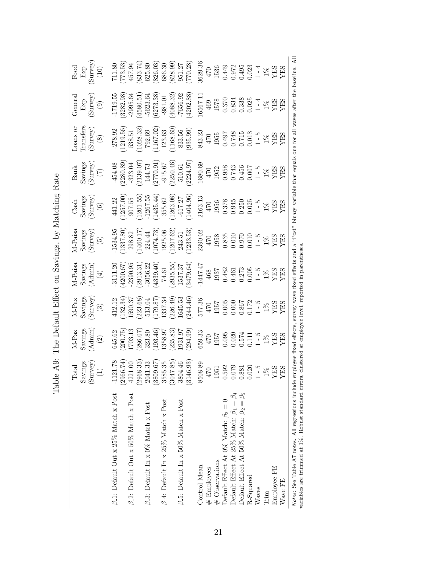<span id="page-20-0"></span>

| $\begin{array}{c} \text{Food} \\ \text{Exp} \\ \text{Survey} \end{array}$                                    |                                                                                                                                                                                                                                                                                       |                                                                                       |                                           | $\begin{array}{l} 11.80 \\ 71.35 \\ 457.9 \\ 457.9 \\ 833.7 \\ 80 \\ 86.8 \\ 80 \\ 80 \\ 80 \\ 80 \\ 80 \\ 80 \\ 80 \\ 80 \\ 11 \\ 7 \\ 7 \\ 10 \\ 20 \\ 9 \\ 11 \\ 30 \\ 9 \\ 13 \\ 9 \\ 15 \\ 9 \\ 15 \\ 9 \\ 15 \\ 9 \\ 15 \\ 9 \\ 15 \\ 9 \\ 15 \\ 9 \\ 15 \\ 9 \\ 15 \\ 17 \\ 18 \\ 19 \\ 19 \\ 19 \\ 19 \\ 19 \\ 19 \\ 19 \\ 19 \\ 19 \\$                 |                                                                                                        |                                                                                                                                                                                                                                                                                                              |
|--------------------------------------------------------------------------------------------------------------|---------------------------------------------------------------------------------------------------------------------------------------------------------------------------------------------------------------------------------------------------------------------------------------|---------------------------------------------------------------------------------------|-------------------------------------------|-----------------------------------------------------------------------------------------------------------------------------------------------------------------------------------------------------------------------------------------------------------------------------------------------------------------------------------------------------------------|--------------------------------------------------------------------------------------------------------|--------------------------------------------------------------------------------------------------------------------------------------------------------------------------------------------------------------------------------------------------------------------------------------------------------------|
| $\begin{array}{c} \text{General} \ \text{Exp} \ \text{Exp} \ \text{(Survey)} \end{array}$                    |                                                                                                                                                                                                                                                                                       |                                                                                       |                                           | $\begin{array}{l} -1719.55 \\ -1719.53 \\ (3282.98) \\ -995.64 \\ -6523.64 \\ -6523.64 \\ -7656.92 \\ -7656.92 \\ -7656.92 \\ -7656.92 \\ -7656.92 \\ -1578 \\ -1578 \\ -1578 \\ -1578 \\ -1578 \\ -1578 \\ -1578 \\ -1578 \\ -1578 \\ \text{FES} \\ \text{X} \end{array}$                                                                                      |                                                                                                        |                                                                                                                                                                                                                                                                                                              |
| $\begin{array}{l} \text{Loans} \text{ or } \\ \text{Transfers} \\ \text{(Sutvey)} \\ \text{(8)} \end{array}$ |                                                                                                                                                                                                                                                                                       |                                                                                       |                                           | $\begin{array}{l} -278.92 \\ -278.9 \\ 1219.56) \\ -1219.53 \\ -123.63 \\ -123.63 \\ -123.63 \\ -123.63 \\ -123.63 \\ -123.56 \\ -123.59 \\ -123.59 \\ -123.59 \\ -123.59 \\ -123.59 \\ -123.59 \\ -123.59 \\ -123.59 \\ -124.59 \\ -125.59 \\ -128.59 \\ -128.59 \\ -128.59 \\ -128.59 \\ -128.59 \\ -128.59 \\ -12$                                           |                                                                                                        |                                                                                                                                                                                                                                                                                                              |
| $\begin{align} \text{Bank} \ \text{Savings} \ \text{(Surve)} \ \text{(Surve)} \end{align}$                   |                                                                                                                                                                                                                                                                                       |                                                                                       |                                           | $\begin{array}{l} -454.08\\ -454.08\\ -2280.89\\ -144.73\\ -144.73\\ -915.67\\ -915.67\\ -915.67\\ -915.67\\ 2224.97\\ -470\\ -470\\ -1952\\ -1952\\ -1952\\ -1953\\ -1952\\ -1953\\ \end{array}$                                                                                                                                                               |                                                                                                        |                                                                                                                                                                                                                                                                                                              |
| $\begin{array}{c} \mathrm{Cash} \ \mathrm{Savings} \ \mathrm{(Surve)} \ \mathrm{(Surve)} \end{array}$        |                                                                                                                                                                                                                                                                                       |                                                                                       |                                           |                                                                                                                                                                                                                                                                                                                                                                 |                                                                                                        |                                                                                                                                                                                                                                                                                                              |
| M-Paisa<br>Savings<br>(Survey)<br>(5)                                                                        |                                                                                                                                                                                                                                                                                       |                                                                                       |                                           | $\begin{array}{l} -1534.95\\ (1337.80)\\ 298.82\\ (1460.17)\\ 224.44\\ (1074.73)\\ 1925.06\\ (1074.73)\\ (1207.62)\\ 243.51\\ (1207.62)\\ (1207.63)\\ 330.000\\ 470\\ 0.0305\\ -4.000\\ 0.010\\ -1.5\\ \end{array}$                                                                                                                                             |                                                                                                        |                                                                                                                                                                                                                                                                                                              |
| M-Paisa<br>Savings<br>(Admin)<br>(4)                                                                         |                                                                                                                                                                                                                                                                                       |                                                                                       |                                           |                                                                                                                                                                                                                                                                                                                                                                 |                                                                                                        |                                                                                                                                                                                                                                                                                                              |
| $\begin{array}{c} \text{M-Paz} \\ \text{Savings} \\ \text{(Surve)} \\ \text{(Surve)} \\ \end{array}$         |                                                                                                                                                                                                                                                                                       |                                                                                       |                                           | $\begin{array}{l} 412.12 \\ (132.34) \\ (132.36) \\ (159.037 \\ (179.87) \\ (179.87) \\ (179.87) \\ (179.87) \\ (296.49) \\ (244.46) \\ 577.36 \\ 470 \\ 0.005 \\ 667 \\ 127 \\ 728 \\ 867 \\ 127 \\ 728 \\ 89 \\ \text{FBS} \\ \text{Y} \\ \text{Y} \\ \text{Y} \\ \text{Y} \\ \text{Y} \\ \text{Y} \\ \text{Y} \\ \text{Y} \\ \text{Y} \\ \text{Y} \\ \text{$ |                                                                                                        |                                                                                                                                                                                                                                                                                                              |
| $M-Paz$<br>Savings<br>Admin $A$                                                                              | $\begin{array}{l} 645.62\\ (200.75)\\ (200.75)\\ (286.07)\\ (238.80\\ (193.46)\\ (193.67)\\ (193.83)\\ (193.83)\\ (235.83)\\ (235.83)\\ (235.87)\\ (235.89)\\ (236.99)\\ (234.99)\\ (236.99)\\ (236.99)\\ (236.99)\\ (236.99)\\ (236.99)\\ (236.99)\\ (236.99)\\ (236.99)\\ (236.99)$ |                                                                                       |                                           | $\begin{array}{l} 359.33\\ 470\\ 1957\\ 0.095\\ 0.020\\ 0.574\\ 1.11\\ 1.5\\ Y\to 5\\ Y\to 5\\ Y\to 5\\ Y\to 5\\ Y\to 5\\ Y\to 5\\ Y\to 5\\ Y\to 5\\ Y\to 5\\ Y\to 5\\ Y\to 5\\ Y\to 5\\ Y\to 5\\ Y\to 5\\ Y\to 5\\ Y\to 5\\ Y\to 5\\ Y\to 5\\ Y\to 5\\ Y\to 5\\ Y\to 5\\ Y\to 5\\ Y\to 5\\ Y\to 5\\ Y\to 5\\ Y\to 5\\ Y\to 5\\$                                |                                                                                                        |                                                                                                                                                                                                                                                                                                              |
| $\begin{array}{c} \text{Total} \\ \text{Savings} \\ \text{(Surve)} \\ \end{array}$                           |                                                                                                                                                                                                                                                                                       |                                                                                       |                                           |                                                                                                                                                                                                                                                                                                                                                                 |                                                                                                        | $[ \begin{array}{c} 1121.78 \\ -1121.73 \\ (2966.74) \\ (2968.33) \\ (3041.33 \\ (3047.85) \\ (3146.93) \\ (3146.93) \\ (3146.93) \\ (3146.93) \\ (31630) \\ (31630) \\ (3070) \\ 1951 \\ 1951 \\ 1079 \\ 1981 \\ 1981 \\ 1982 \\ 1981 \\ 1981 \\ 1982 \\ 1981 \\ 1981 \\ 1982 \\ 1981 \\ 1981 \\ 1982 \\ 1$ |
|                                                                                                              | $\beta$ <sub>-1</sub> : Default Out x 25% Match x Post<br>$\beta$ -2: Default Out x 50% Match x Post                                                                                                                                                                                  | $\beta$ -4: Default In x 25% Match x Post<br>$\beta$ -3: Default In x 0% Match x Post | $\beta$ -5: Default In x 50% Match x Post | Default Effect At 0% Match: $\beta_3=0$<br># Observations<br>Control Mean<br>$#$ Employees                                                                                                                                                                                                                                                                      | Default Effect At 25% Match: $\beta_1=\beta_4$<br>Default Effect At 50% Match: $\beta_2=$<br>R-Squared | Employee FE<br>Wave FE<br>Waves<br><b>Trim</b>                                                                                                                                                                                                                                                               |

| くすく フィーク<br>ļ                                                                                   |
|-------------------------------------------------------------------------------------------------|
| )<br>$-1 - 1$<br>I                                                                              |
| $\frac{1}{2}$<br>$\overline{2}$<br>J                                                            |
| r oceanic tect tection<br>$\sum_{i=1}^n$<br>ì                                                   |
| ֧֧֧֧֧֧֧֧֧֧֧֧֧֧֧֧֧֧֧֧֧֧֧֧֛֧֛֧֧֧֧֛֚֚֚֚֚֚֚֚֚֚֚֚֚֚֚֚֚֚֚֚֚֚֚֚֚֚֚֚֚֝֝֓֝֓֝֓֝֬֝֓֝֬֝֓֝֬֝֬֝֬֜֓֝֬֝֬֝֬֝֬֝֬֜ |
| $\vdots$<br>ع<br> <br>                                                                          |
| ĺ                                                                                               |
| )<br>۱<br>Ē                                                                                     |
|                                                                                                 |
| į<br>$T_{\circ}$ $L$                                                                            |

21

*Notes*: See Table A7 notes. All regressions include employee fixed effects, survey wave fixed effects and a "Post" binary variable that equals one for all waves after the baseline. All vaniables are trimmed at 1%. Robust Notes: See Table [A7](#page-18-0) notes. All regressions include employee fixed effects, survey wave and a "Post" binary variable that equals one for all waves after the baseline. All variables are trimmed at 1%. Robust standard errors, clustered at employee level, reported in parentheses.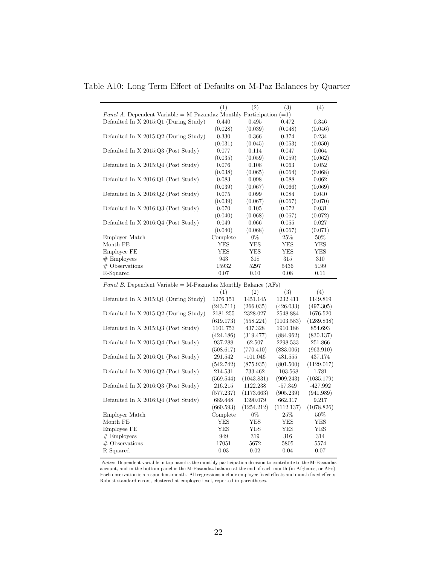<span id="page-21-0"></span>Table A10: Long Term Effect of Defaults on M-Paz Balances by Quarter

|                                                                              | (1)                   | (2)                  | (3)                    | (4)                   |
|------------------------------------------------------------------------------|-----------------------|----------------------|------------------------|-----------------------|
| <i>Panel A.</i> Dependent Variable = M-Pazandaz Monthly Participation $(=1)$ |                       |                      |                        |                       |
| Defaulted In X 2015:Q1 (During Study)                                        | 0.440                 | 0.495                | 0.472                  | 0.346                 |
|                                                                              | (0.028)               | (0.039)              | (0.048)                | (0.046)               |
| Defaulted In X 2015:Q2 (During Study)                                        | 0.330                 | 0.366                | 0.374                  | 0.234                 |
|                                                                              | (0.031)               | (0.045)              | (0.053)                | (0.050)               |
| Defaulted In X 2015:Q3 (Post Study)                                          | 0.077                 | 0.114                | 0.047                  | 0.064                 |
|                                                                              | (0.035)               | (0.059)              | (0.059)                | (0.062)               |
| Defaulted In $X 2015:Q4$ (Post Study)                                        | 0.076                 | 0.108                | 0.063                  | 0.052                 |
|                                                                              | (0.038)               | (0.065)              | (0.064)                | (0.068)               |
| Defaulted In $X 2016:Q1$ (Post Study)                                        | 0.083                 | 0.098                | 0.088                  | 0.062                 |
|                                                                              | (0.039)               | (0.067)              | (0.066)                | (0.069)               |
| Defaulted In $X 2016:Q2$ (Post Study)                                        | 0.075                 | 0.099                | 0.084                  | 0.040                 |
|                                                                              | (0.039)               | (0.067)              | (0.067)                | (0.070)               |
| Defaulted In $X 2016:Q3$ (Post Study)                                        | 0.070                 | 0.105                | 0.072                  | 0.031                 |
|                                                                              | (0.040)               | (0.068)              | (0.067)                | (0.072)               |
| Defaulted In $X 2016:Q4$ (Post Study)                                        | 0.049                 | 0.066                | 0.055                  | 0.027                 |
|                                                                              | (0.040)               | (0.068)              | (0.067)                | (0.071)               |
| Employer Match                                                               | Complete              | $0\%$                | 25%                    | $50\%$                |
| Month FE                                                                     | YES                   | YES                  | YES                    | YES                   |
| Employee FE                                                                  | YES                   | YES                  | <b>YES</b>             | YES                   |
| $#$ Employees                                                                | 943                   | 318                  | 315                    | 310                   |
|                                                                              | 15932                 |                      | 5436                   |                       |
| $#$ Observations<br>R-Squared                                                | 0.07                  | 5297<br>0.10         | 0.08                   | 5199<br>0.11          |
|                                                                              |                       |                      |                        |                       |
|                                                                              |                       |                      |                        |                       |
| <i>Panel B.</i> Dependent Variable = M-Pazandaz Monthly Balance $(AFs)$      |                       |                      |                        |                       |
|                                                                              |                       | (2)                  | (3)                    | (4)                   |
| Defaulted In X 2015:Q1 (During Study)                                        | (1)<br>1276.151       | 1451.145             | 1232.411               | 1149.819              |
|                                                                              | (243.711)             | (266.035)            | (426.033)              | (497.305)             |
| Defaulted In $X$ 2015: $Q2$ (During Study)                                   | 2181.255              | 2328.027             | 2548.884               | 1676.520              |
|                                                                              |                       |                      |                        |                       |
|                                                                              | (619.173)<br>1101.753 | (558.224)<br>437.328 | (1103.583)<br>1910.186 | (1289.838)<br>854.693 |
| Defaulted In $X$ 2015:Q3 (Post Study)                                        |                       |                      |                        |                       |
|                                                                              | (424.186)             | (319.477)            | (884.962)              | (830.137)             |
| Defaulted In X 2015:Q4 (Post Study)                                          | 937.288               | 62.507               | 2298.533               | 251.866               |
|                                                                              | (508.617)             | (770.410)            | (883.006)              | (963.910)             |
| Defaulted In X 2016:Q1 (Post Study)                                          | 291.542               | $-101.046$           | 481.555                | 437.174               |
|                                                                              | (542.742)             | (875.935)            | (801.500)              | (1129.017)            |
| Defaulted In $X 2016:Q2$ (Post Study)                                        | 214.531               | 733.462              | $-103.568$             | 1.781                 |
|                                                                              | (569.544)             | (1043.831)           | (909.243)              | (1035.179)            |
| Defaulted In X 2016:Q3 (Post Study)                                          | 216.215               | 1122.238             | $-57.349$              | $-427.992$            |
|                                                                              | (577.237)             | (1173.663)           | (905.239)              | (941.989)             |
| Defaulted In X 2016:Q4 (Post Study)                                          | 689.448               | 1390.079             | 662.317                | 9.217                 |
|                                                                              | (660.593)             | (1254.212)           | (1112.137)             | (1078.826)            |
| Employer Match                                                               | Complete              | $0\%$                | 25%                    | $50\%$                |
| Month FE                                                                     | YES                   | YES                  | YES                    | YES                   |
| Employee FE                                                                  | YES                   | YES                  | YES                    | YES                   |
| $#$ Employees                                                                | 949                   | 319                  | 316                    | 314                   |
| $#$ Observations<br>R-Squared                                                | 17051<br>0.03         | 5672<br>0.02         | 5805<br>0.04           | 5574<br>0.07          |

Notes: Dependent variable in top panel is the monthly participation decision to contribute to the M-Pasandaz account, and in the bottom panel is the M-Pasandaz balance at the end of each month (in Afghanis, or AFs). Each observation is a respondent-month. All regressions include employee fixed effects and month fixed effects. Robust standard errors, clustered at employee level, reported in parentheses.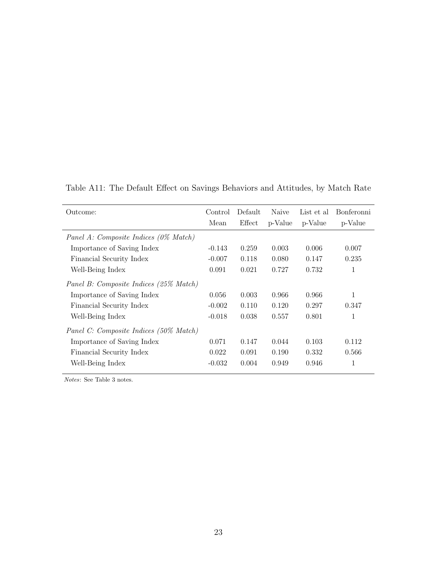| Outcome:                               | Control  | Default | Naive   | List et al | Bonferonni |
|----------------------------------------|----------|---------|---------|------------|------------|
|                                        | Mean     | Effect  | p-Value | p-Value    | p-Value    |
| Panel A: Composite Indices (0% Match)  |          |         |         |            |            |
| Importance of Saving Index             | $-0.143$ | 0.259   | 0.003   | 0.006      | 0.007      |
| Financial Security Index               | $-0.007$ | 0.118   | 0.080   | 0.147      | 0.235      |
| Well-Being Index                       | 0.091    | 0.021   | 0.727   | 0.732      | 1          |
| Panel B: Composite Indices (25% Match) |          |         |         |            |            |
| Importance of Saving Index             | 0.056    | 0.003   | 0.966   | 0.966      | 1          |
| Financial Security Index               | $-0.002$ | 0.110   | 0.120   | 0.297      | 0.347      |
| Well-Being Index                       | $-0.018$ | 0.038   | 0.557   | 0.801      | 1          |
| Panel C: Composite Indices (50% Match) |          |         |         |            |            |
| Importance of Saving Index             | 0.071    | 0.147   | 0.044   | 0.103      | 0.112      |
| Financial Security Index               | 0.022    | 0.091   | 0.190   | 0.332      | 0.566      |
| Well-Being Index                       | $-0.032$ | 0.004   | 0.949   | 0.946      | 1          |

<span id="page-22-0"></span>Table A11: The Default Effect on Savings Behaviors and Attitudes, by Match Rate

Notes: See Table 3 notes.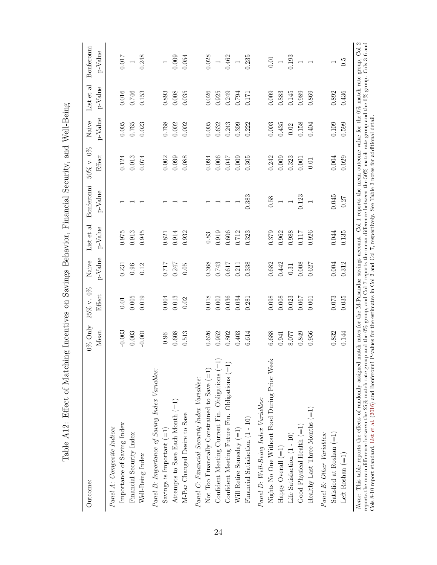| Outcome:                                         | $0\%$ Only<br>Mean | 25% v. 0%<br>Effect | p-Value<br>Naive | List et al<br>$p$ -Value | Bonferonni<br>p-Value    | 50% v. 0%<br>Effect | $p$ -Value<br>Naive | List et al<br>$p$ -Value | Bonferonni<br>$p$ -Value |
|--------------------------------------------------|--------------------|---------------------|------------------|--------------------------|--------------------------|---------------------|---------------------|--------------------------|--------------------------|
| Panel A: Composite Indices                       |                    |                     |                  |                          |                          |                     |                     |                          |                          |
| Importance of Saving Index                       | $-0.003$           | 0.01                | 0.231            | 0.975                    |                          | 0.124               | 0.005               | 0.016                    | 0.017                    |
| Financial Security Index                         | 0.003              | 0.005               | 0.96             | 0.913                    |                          | 0.013               | 0.765               | 0.746                    | $\overline{a}$           |
| Well-Being Index                                 | $-0.001$           | 0.019               | 0.12             | 0.945                    |                          | 0.074               | 0.023               | 0.153                    | 0.248                    |
| Panel B: Importance of Saving Index Variables:   |                    |                     |                  |                          |                          |                     |                     |                          |                          |
| Savings is Important $(=1)$                      | 0.96               | 0.004               | 117.0            | 0.821                    |                          | 0.002               | 0.768               | 0.893                    | $\overline{a}$           |
| Attempts to Save Each Month (=1)                 | 0.608              | 0.013               | 0.247            | 0.914                    |                          | 0.099               | 0.002               | $0.008\,$                | 0.009                    |
| M-Paz Changed Desire to Save                     | 0.513              | 0.02                | 0.05             | 0.932                    |                          | 0.088               | 0.002               | 0.035                    | 0.054                    |
| Panel C: Financial Security Index Variables:     |                    |                     |                  |                          |                          |                     |                     |                          |                          |
| Not Too Financially Constrained to Save $(=1)$   | 0.626              | 0.018               | 0.368            | 0.83                     |                          | 0.094               | 0.005               | 0.026                    | 0.028                    |
| Confident Meeting Current Fin. Obligations (=1)  | 0.952              | 0.002               | 0.743            | 0.919                    | $\overline{ }$           | 0.006               | 0.632               | 0.925                    | $\overline{\phantom{0}}$ |
| Confident Meeting Future Fin. Obligations $(=1)$ | 0.802              | 0.036               | 0.617            | 0.606                    | $\overline{\phantom{a}}$ | 0.047               | 0.243               | 0.249                    | 0.462                    |
| Will Retire Someday $(=1)$                       | 0.403              | 0.034               | 0.211            | 0.712                    |                          | 0.009               | 0.399               | 0.794                    | $\overline{a}$           |
| Financial Satisfaction (1 - 10)                  | 6.614              | 0.281               | 0.338            | 0.323                    | 0.383                    | 0.305               | 0.222               | 0.171                    | 0.235                    |
| Panel D: Well-Being Index Variables:             |                    |                     |                  |                          |                          |                     |                     |                          |                          |
| Nights No One Without Food During Prior Week     | 6.688              | 0.098               | 0.682            | 0.379                    | 0.58                     | 0.242               | $0.003$             | 0.009                    | 0.01                     |
| Happy Overall $(=1)$                             | 0.941              | 0.008               | 0.442            | 0.962                    | $\overline{\phantom{0}}$ | 0.009               | 0.435               | 0.883                    | $\overline{\phantom{0}}$ |
| Life Satisfaction (1 - 10)                       | 8.077              | 0.023               | 0.31             | 0.988                    |                          | 0.323               | 0.02                | 0.145                    | 0.193                    |
| Good Physical Health $(= \! 1)$                  | 0.849              | 0.067               | 0.008            | 0.117                    | 0.123                    | 0.001               | 0.158               | 0.989                    |                          |
| Healthy Last Three Months $(=1)$                 | 0.956              | 0.001               | 0.627            | 0.926                    | $\overline{ }$           | 0.01                | 0.404               | 0.869                    | $\overline{\phantom{a}}$ |
| Panel E: Other Variables:                        |                    |                     |                  |                          |                          |                     |                     |                          |                          |
| Satisfied at Roshan $(=1)$                       | 0.832              | 0.073               | $0.004\,$        | 0.044                    | 0.045                    | $0.004\,$           | 0.109               | $0.892\,$                | $\overline{\phantom{0}}$ |
| Left Roshan $(=1)$                               | 0.144              | 0.035               | 0.312            | 0.135                    | 0.27                     | 0.029               | 0.599               | 0.436                    | $0.\overline{5}$         |

<span id="page-23-0"></span>Table A12: Effect of Matching Incentives on Savings Behavior, Financial Security, and Well-Being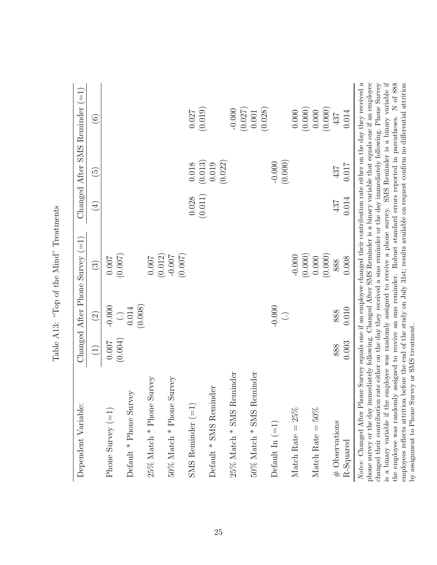| Dependent Variable:                                                                                                                                                                                                                                                                                                                                                                                                                                                                                                                                                                                                                                                                                                                                   |             |                   | Changed After Phone Survey $(=1)$ |             |                      | Changed After SMS Reminder (=1)                                                                |
|-------------------------------------------------------------------------------------------------------------------------------------------------------------------------------------------------------------------------------------------------------------------------------------------------------------------------------------------------------------------------------------------------------------------------------------------------------------------------------------------------------------------------------------------------------------------------------------------------------------------------------------------------------------------------------------------------------------------------------------------------------|-------------|-------------------|-----------------------------------|-------------|----------------------|------------------------------------------------------------------------------------------------|
|                                                                                                                                                                                                                                                                                                                                                                                                                                                                                                                                                                                                                                                                                                                                                       | $\bigoplus$ | $\widehat{\odot}$ | $\odot$                           | $\bigoplus$ | $\widetilde{\Theta}$ | $\widehat{\circ}$                                                                              |
| Phone Survey $(=1)$                                                                                                                                                                                                                                                                                                                                                                                                                                                                                                                                                                                                                                                                                                                                   | $0.007$     | $-0.000$          | 0.007                             |             |                      |                                                                                                |
| Default * Phone Survey                                                                                                                                                                                                                                                                                                                                                                                                                                                                                                                                                                                                                                                                                                                                | (0.004)     | $\frac{1}{100}$   | (0.007)                           |             |                      |                                                                                                |
|                                                                                                                                                                                                                                                                                                                                                                                                                                                                                                                                                                                                                                                                                                                                                       |             | (0.008)           |                                   |             |                      |                                                                                                |
| Survey<br>$25\%$ Match * Phone                                                                                                                                                                                                                                                                                                                                                                                                                                                                                                                                                                                                                                                                                                                        |             |                   | 0.007                             |             |                      |                                                                                                |
| Survey<br>$50\%$ Match $^*$ Phone                                                                                                                                                                                                                                                                                                                                                                                                                                                                                                                                                                                                                                                                                                                     |             |                   | (0.007)<br>(0.012)<br>-0.007      |             |                      |                                                                                                |
| ${\tt SMS}$ Reminder $(=1)$                                                                                                                                                                                                                                                                                                                                                                                                                                                                                                                                                                                                                                                                                                                           |             |                   |                                   | 0.028       | $0.018\,$            | $0.027$                                                                                        |
| Default * SMS Reminder                                                                                                                                                                                                                                                                                                                                                                                                                                                                                                                                                                                                                                                                                                                                |             |                   |                                   | (0.011)     | (0.013)<br>0.019     | (0.019)                                                                                        |
|                                                                                                                                                                                                                                                                                                                                                                                                                                                                                                                                                                                                                                                                                                                                                       |             |                   |                                   |             | (0.022)              |                                                                                                |
| $25\%$ Match * SMS Reminder                                                                                                                                                                                                                                                                                                                                                                                                                                                                                                                                                                                                                                                                                                                           |             |                   |                                   |             |                      | $-0.000$                                                                                       |
|                                                                                                                                                                                                                                                                                                                                                                                                                                                                                                                                                                                                                                                                                                                                                       |             |                   |                                   |             |                      | (0.027)                                                                                        |
| $50\%$ Match $^*$ SMS<br>Reminder                                                                                                                                                                                                                                                                                                                                                                                                                                                                                                                                                                                                                                                                                                                     |             |                   |                                   |             |                      | (0.028)<br>$0.001\,$                                                                           |
| Default In $(=1)$                                                                                                                                                                                                                                                                                                                                                                                                                                                                                                                                                                                                                                                                                                                                     |             | $-0.000$          |                                   |             | $-0.000$             |                                                                                                |
|                                                                                                                                                                                                                                                                                                                                                                                                                                                                                                                                                                                                                                                                                                                                                       |             | $\bigodot$        |                                   |             | (0.000)              |                                                                                                |
| Match Rate = $25\%$                                                                                                                                                                                                                                                                                                                                                                                                                                                                                                                                                                                                                                                                                                                                   |             |                   | $-0.000$                          |             |                      | 0.000                                                                                          |
|                                                                                                                                                                                                                                                                                                                                                                                                                                                                                                                                                                                                                                                                                                                                                       |             |                   | (0.000)                           |             |                      | (0.000)                                                                                        |
| Match Rate = $50\%$                                                                                                                                                                                                                                                                                                                                                                                                                                                                                                                                                                                                                                                                                                                                   |             |                   | 0.000                             |             |                      | 0.000                                                                                          |
| $#$ Observations                                                                                                                                                                                                                                                                                                                                                                                                                                                                                                                                                                                                                                                                                                                                      | 888         | 888               | (0.000)<br>888                    | 437         | 437                  | (0.000)<br>437                                                                                 |
| R-Squared                                                                                                                                                                                                                                                                                                                                                                                                                                                                                                                                                                                                                                                                                                                                             | 0.003       | 0.010             | 0.008                             | 0.014       | 0.017                | 0.014                                                                                          |
| Notes: Changed After Phone Survey equals one if an employee changed their contribution rate either on the day they received a<br>phone survey or the day immediately following. Changed After SMS Reminder is a binary variable that equals one if an employee<br>changed their contribution rate either on the day they received a sms reminder or the day immediately following. Phone Survey<br>the employee was randomly assigned to receive an sms reminder. Robust standard errors reported in parentheses. N of 888<br>employees reflects attrition before the end of the study on July 31st; results available on request confirm no differential attrition<br>by assignment to Phone Survey or SMS treatment.<br>is a binary variable if the |             |                   |                                   |             |                      | employee was randomly assigned to receive a phone survey. SMS Reminder is a binary variable if |

<span id="page-24-0"></span>Table A13: "Top of the Mind" Treatments Table A13: "Top of the Mind" Treatments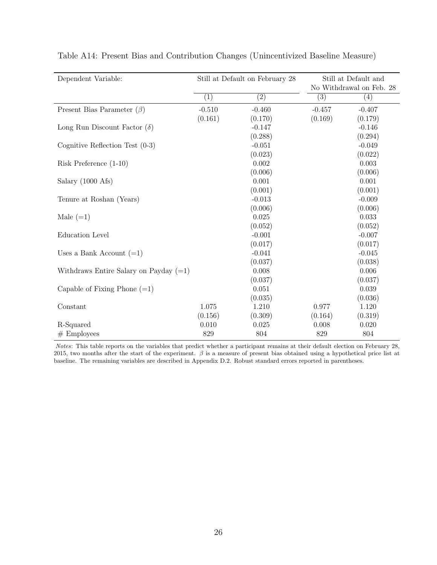| Dependent Variable:                      |                  | Still at Default on February 28 |                   | Still at Default and<br>No Withdrawal on Feb. 28 |
|------------------------------------------|------------------|---------------------------------|-------------------|--------------------------------------------------|
|                                          | $\overline{(1)}$ | $\overline{(2)}$                | $\left( 3\right)$ | (4)                                              |
| Present Bias Parameter $(\beta)$         | $-0.510$         | $-0.460$                        | $-0.457$          | $-0.407$                                         |
|                                          | (0.161)          | (0.170)                         | (0.169)           | (0.179)                                          |
| Long Run Discount Factor $(\delta)$      |                  | $-0.147$                        |                   | $-0.146$                                         |
|                                          |                  | (0.288)                         |                   | (0.294)                                          |
| Cognitive Reflection Test $(0-3)$        |                  | $-0.051$                        |                   | $-0.049$                                         |
|                                          |                  | (0.023)                         |                   | (0.022)                                          |
| Risk Preference $(1-10)$                 |                  | 0.002                           |                   | 0.003                                            |
|                                          |                  | (0.006)                         |                   | (0.006)                                          |
| Salary (1000 Afs)                        |                  | 0.001                           |                   | 0.001                                            |
|                                          |                  | (0.001)                         |                   | (0.001)                                          |
| Tenure at Roshan (Years)                 |                  | $-0.013$                        |                   | $-0.009$                                         |
|                                          |                  | (0.006)                         |                   | (0.006)                                          |
| Male $(=1)$                              |                  | 0.025                           |                   | 0.033                                            |
|                                          |                  | (0.052)                         |                   | (0.052)                                          |
| <b>Education Level</b>                   |                  | $-0.001$                        |                   | $-0.007$                                         |
|                                          |                  | (0.017)                         |                   | (0.017)                                          |
| Uses a Bank Account $(=1)$               |                  | $-0.041$                        |                   | $-0.045$                                         |
|                                          |                  | (0.037)                         |                   | (0.038)                                          |
| Withdraws Entire Salary on Payday $(=1)$ |                  | 0.008                           |                   | 0.006                                            |
|                                          |                  | (0.037)                         |                   | (0.037)                                          |
| Capable of Fixing Phone $(=1)$           |                  | 0.051                           |                   | 0.039                                            |
|                                          |                  | (0.035)                         |                   | (0.036)                                          |
| Constant                                 | 1.075            | 1.210                           | 0.977             | 1.120                                            |
|                                          | (0.156)          | (0.309)                         | (0.164)           | (0.319)                                          |
| R-Squared                                | 0.010            | 0.025                           | 0.008             | 0.020                                            |
| $#$ Employees                            | 829              | 804                             | 829               | 804                                              |

<span id="page-25-0"></span>Table A14: Present Bias and Contribution Changes (Unincentivized Baseline Measure)

Notes: This table reports on the variables that predict whether a participant remains at their default election on February 28, 2015, two months after the start of the experiment.  $\beta$  is a measure of present bias obtained using a hypothetical price list at baseline. The remaining variables are described in Appendix [D.2.](#page-37-0) Robust standard errors reported in parentheses.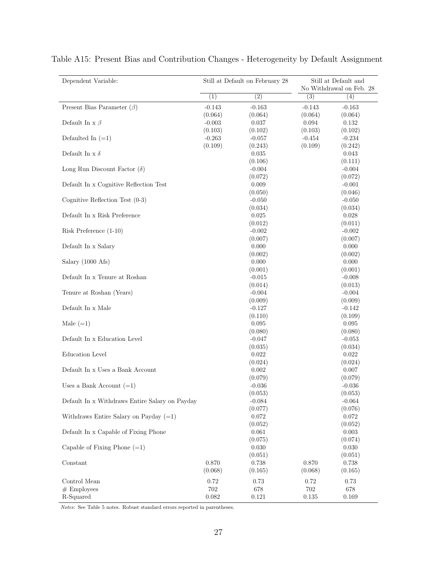| Dependent Variable:                            |                 | Still at Default on February 28 |                  | Still at Default and<br>No Withdrawal on Feb. 28 |
|------------------------------------------------|-----------------|---------------------------------|------------------|--------------------------------------------------|
|                                                | (1)             | $\overline{(2)}$                | $\overline{(3)}$ | $\left( 4\right)$                                |
| Present Bias Parameter $(\beta)$               | $-0.143$        | $-0.163$                        | $-0.143$         | $-0.163$                                         |
|                                                | (0.064)         | (0.064)                         | (0.064)          | (0.064)                                          |
| Default In x $\beta$                           | $-0.003$        | 0.037                           | 0.094            | 0.132                                            |
|                                                | (0.103)         | (0.102)                         | (0.103)          | (0.102)                                          |
| Defaulted In $(=1)$                            | $-0.263$        | $-0.057$                        | $-0.454$         | $-0.234$                                         |
|                                                | (0.109)         | (0.243)                         | (0.109)          | (0.242)                                          |
| Default In x $\delta$                          |                 | 0.035                           |                  | 0.043                                            |
|                                                |                 | (0.106)                         |                  | (0.111)                                          |
| Long Run Discount Factor $(\delta)$            |                 | $-0.004$                        |                  | $-0.004$                                         |
|                                                |                 | (0.072)                         |                  | (0.072)                                          |
| Default In x Cognitive Reflection Test         |                 | 0.009                           |                  | $-0.001$                                         |
|                                                |                 | (0.050)                         |                  | (0.046)                                          |
| Cognitive Reflection Test $(0-3)$              |                 | $-0.050$                        |                  | $-0.050$                                         |
|                                                |                 | (0.034)                         |                  | (0.034)                                          |
| Default In x Risk Preference                   |                 | 0.025                           |                  | 0.028                                            |
|                                                |                 | (0.012)                         |                  | (0.011)                                          |
| Risk Preference (1-10)                         |                 | $-0.002$                        |                  | $-0.002$                                         |
|                                                |                 | (0.007)                         |                  | (0.007)                                          |
| Default In x Salary                            |                 | 0.000                           |                  | 0.000                                            |
|                                                |                 | (0.002)                         |                  | (0.002)                                          |
| Salary (1000 Afs)                              |                 | 0.000                           |                  | 0.000                                            |
|                                                |                 | (0.001)                         |                  | (0.001)                                          |
| Default In x Tenure at Roshan                  |                 | $-0.015$                        |                  | $-0.008$                                         |
|                                                |                 | (0.014)                         |                  | (0.013)                                          |
| Tenure at Roshan (Years)                       |                 | $-0.004$                        |                  | $-0.004$                                         |
|                                                |                 | (0.009)                         |                  | (0.009)                                          |
| Default In x Male                              |                 | $-0.127$                        |                  | $-0.142$                                         |
|                                                |                 | (0.110)                         |                  | (0.109)                                          |
| Male $(=1)$                                    |                 | 0.095                           |                  | 0.095                                            |
|                                                |                 | (0.080)                         |                  | (0.080)                                          |
| Default In x Education Level                   |                 | $-0.047$                        |                  | $-0.053$                                         |
|                                                |                 | (0.035)                         |                  | (0.034)                                          |
| Education Level                                |                 | 0.022                           |                  | 0.022                                            |
|                                                |                 | (0.024)                         |                  | (0.024)                                          |
| Default In x Uses a Bank Account               |                 | 0.002                           |                  | 0.007                                            |
|                                                |                 | (0.079)                         |                  | (0.079)                                          |
| Uses a Bank Account $(=1)$                     |                 | $-0.036$                        |                  | $-0.036$                                         |
|                                                |                 | (0.053)                         |                  | (0.053)                                          |
| Default In x Withdraws Entire Salary on Payday |                 | $-0.084$                        |                  | $-0.064$                                         |
| Withdraws Entire Salary on Payday $(=1)$       |                 | (0.077)<br>0.072                |                  | (0.076)<br>0.072                                 |
|                                                |                 | (0.052)                         |                  | (0.052)                                          |
| Default In x Capable of Fixing Phone           |                 | 0.061                           |                  | 0.003                                            |
|                                                |                 | (0.075)                         |                  | (0.074)                                          |
| Capable of Fixing Phone $(=1)$                 |                 | 0.030                           |                  | 0.030                                            |
|                                                |                 | (0.051)                         |                  | (0.051)                                          |
| Constant                                       | 0.870           | 0.738                           | 0.870            | 0.738                                            |
|                                                | (0.068)         | (0.165)                         | (0.068)          | (0.165)                                          |
|                                                |                 |                                 |                  |                                                  |
| Control Mean                                   | 0.72<br>$702\,$ | 0.73                            | 0.72             | 0.73                                             |
| $#$ Employees<br>R-Squared                     | $\,0.082\,$     | 678<br>0.121                    | 702<br>$0.135\,$ | 678<br>0.169                                     |
|                                                |                 |                                 |                  |                                                  |

<span id="page-26-0"></span>Table A15: Present Bias and Contribution Changes - Heterogeneity by Default Assignment

Notes: See Table 5 notes. Robust standard errors reported in parentheses.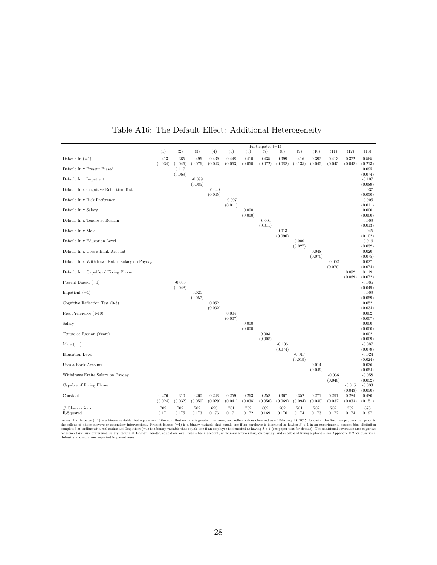<span id="page-27-0"></span>

|                                                |                  |                     |                     |                     |                     |                  | Participates $(=1)$ |                  |                  |                  |                     |                             |                             |
|------------------------------------------------|------------------|---------------------|---------------------|---------------------|---------------------|------------------|---------------------|------------------|------------------|------------------|---------------------|-----------------------------|-----------------------------|
|                                                | (1)              | (2)                 | (3)                 | (4)                 | (5)                 | (6)              | (7)                 | (8)              | (9)              | (10)             | (11)                | (12)                        | (13)                        |
| Default In $(=1)$                              | 0.413<br>(0.034) | 0.365<br>(0.046)    | 0.495<br>(0.076)    | 0.439<br>(0.043)    | 0.448<br>(0.063)    | 0.410<br>(0.050) | 0.435<br>(0.072)    | 0.399<br>(0.088) | 0.416<br>(0.135) | 0.392<br>(0.045) | 0.413<br>(0.045)    | 0.372<br>(0.048)            | 0.565<br>(0.213)            |
| Default In x Present Biased                    |                  | 0.117<br>(0.069)    |                     |                     |                     |                  |                     |                  |                  |                  |                     |                             | 0.095<br>(0.074)            |
| Default In x Impatient                         |                  |                     | $-0.099$<br>(0.085) |                     |                     |                  |                     |                  |                  |                  |                     |                             | $-0.107$<br>(0.089)         |
| Default In x Cognitive Reflection Test         |                  |                     |                     | $-0.049$<br>(0.045) |                     |                  |                     |                  |                  |                  |                     |                             | $-0.037$<br>(0.050)         |
| Default In x Risk Preference                   |                  |                     |                     |                     | $-0.007$<br>(0.011) |                  |                     |                  |                  |                  |                     |                             | $-0.005$<br>(0.011)         |
| Default In x Salary                            |                  |                     |                     |                     |                     | 0.000<br>(0.000) |                     |                  |                  |                  |                     |                             | 0.000<br>(0.000)            |
| Default In x Tenure at Roshan                  |                  |                     |                     |                     |                     |                  | $-0.004$<br>(0.011) |                  |                  |                  |                     |                             | $-0.009$<br>(0.013)         |
| Default In x Male                              |                  |                     |                     |                     |                     |                  |                     | 0.013<br>(0.096) |                  |                  |                     |                             | $-0.045$<br>(0.102)         |
| Default In x Education Level                   |                  |                     |                     |                     |                     |                  |                     |                  | 0.000<br>(0.027) |                  |                     |                             | $-0.016$<br>(0.032)         |
| Default In x Uses a Bank Account               |                  |                     |                     |                     |                     |                  |                     |                  |                  | 0.048<br>(0.070) |                     |                             | 0.020<br>(0.075)            |
| Default In x Withdraws Entire Salary on Payday |                  |                     |                     |                     |                     |                  |                     |                  |                  |                  | $-0.002$<br>(0.070) |                             | 0.027<br>(0.074)            |
| Default In x Capable of Fixing Phone           |                  |                     |                     |                     |                     |                  |                     |                  |                  |                  |                     | 0.092<br>(0.069)            | 0.119<br>(0.072)            |
| Present Biased $(=1)$                          |                  | $-0.083$<br>(0.048) |                     |                     |                     |                  |                     |                  |                  |                  |                     |                             | $-0.085$<br>(0.049)         |
| Impatient $(=1)$                               |                  |                     | 0.021<br>(0.057)    |                     |                     |                  |                     |                  |                  |                  |                     |                             | $-0.009$<br>(0.059)         |
| Cognitive Reflection Test (0-3)                |                  |                     |                     | 0.052<br>(0.032)    |                     |                  |                     |                  |                  |                  |                     |                             | 0.052<br>(0.034)            |
| Risk Preference (1-10)                         |                  |                     |                     |                     | 0.004<br>(0.007)    |                  |                     |                  |                  |                  |                     |                             | 0.002<br>(0.007)            |
| Salary                                         |                  |                     |                     |                     |                     | 0.000<br>(0.000) |                     |                  |                  |                  |                     |                             | 0.000<br>(0.000)            |
| Tenure at Roshan (Years)                       |                  |                     |                     |                     |                     |                  | 0.003               |                  |                  |                  |                     |                             | 0.002                       |
| Male $(=1)$                                    |                  |                     |                     |                     |                     |                  | (0.008)             | $-0.106$         |                  |                  |                     |                             | (0.009)<br>$-0.087$         |
| Education Level                                |                  |                     |                     |                     |                     |                  |                     | (0.074)          | $-0.017$         |                  |                     |                             | (0.079)<br>$-0.024$         |
| Uses a Bank Account                            |                  |                     |                     |                     |                     |                  |                     |                  | (0.019)          | 0.014            |                     |                             | (0.024)<br>0.036            |
| Withdraws Entire Salary on Payday              |                  |                     |                     |                     |                     |                  |                     |                  |                  | (0.049)          | $-0.036$            |                             | (0.054)<br>$-0.058$         |
| Capable of Fixing Phone                        |                  |                     |                     |                     |                     |                  |                     |                  |                  |                  | (0.048)             | $-0.016$                    | (0.052)<br>$-0.033$         |
| Constant                                       | 0.276<br>(0.024) | 0.310<br>(0.032)    | 0.260<br>(0.050)    | 0.248<br>(0.029)    | 0.259<br>(0.041)    | 0.263<br>(0.038) | 0.258<br>(0.050)    | 0.367<br>(0.069) | 0.352<br>(0.094) | 0.271<br>(0.030) | 0.291<br>(0.032)    | (0.048)<br>0.284<br>(0.033) | (0.050)<br>0.480<br>(0.151) |
| $#$ Observations<br>R-Squared                  | 702<br>0.171     | 702<br>0.175        | 702<br>0.173        | 693<br>0.173        | 701<br>0.171        | 702<br>0.172     | 689<br>0.169        | 702<br>0.176     | 701<br>0.174     | 702<br>0.173     | 702<br>0.172        | 702<br>0.174                | 678<br>0.197                |

#### Table A16: The Default Effect: Additional Heterogeneity

*Notes:* Participates (=1) is a binary variable that equals one if the contribution rate is greater than zero, and reflect values observed as of February 28, 2015, following the first two paydays but prior to the rollout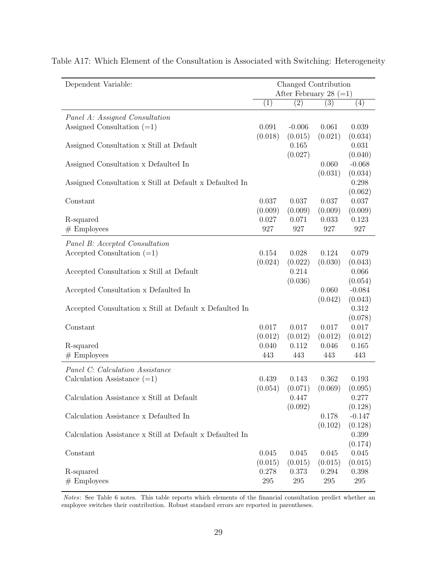| Dependent Variable:                                      |              |                   | Changed Contribution<br>After February 28 $(=1)$ |                  |
|----------------------------------------------------------|--------------|-------------------|--------------------------------------------------|------------------|
|                                                          | (1)          | $\left( 2\right)$ | (3)                                              | (4)              |
| Panel A: Assigned Consultation                           |              |                   |                                                  |                  |
| Assigned Consultation $(=1)$                             | 0.091        | $-0.006$          | 0.061                                            | 0.039            |
|                                                          | (0.018)      | (0.015)           | (0.021)                                          | (0.034)          |
| Assigned Consultation x Still at Default                 |              | 0.165             |                                                  | 0.031            |
|                                                          |              | (0.027)           |                                                  | (0.040)          |
| Assigned Consultation x Defaulted In                     |              |                   | 0.060                                            | $-0.068$         |
|                                                          |              |                   | (0.031)                                          | (0.034)          |
| Assigned Consultation x Still at Default x Defaulted In  |              |                   |                                                  | 0.298            |
|                                                          |              |                   |                                                  | (0.062)          |
| Constant                                                 | 0.037        | 0.037             | 0.037                                            | 0.037            |
|                                                          | (0.009)      | (0.009)           | (0.009)                                          | (0.009)          |
| R-squared                                                | 0.027<br>927 | 0.071<br>927      | 0.033<br>927                                     | 0.123<br>927     |
| $#$ Employees                                            |              |                   |                                                  |                  |
| Panel B: Accepted Consultation                           |              |                   |                                                  |                  |
| Accepted Consultation $(=1)$                             | 0.154        | 0.028             | 0.124                                            | 0.079            |
|                                                          | (0.024)      | (0.022)           | (0.030)                                          | (0.043)          |
| Accepted Consultation x Still at Default                 |              | 0.214             |                                                  | 0.066            |
|                                                          |              | (0.036)           |                                                  | (0.054)          |
| Accepted Consultation x Defaulted In                     |              |                   | 0.060                                            | $-0.084$         |
|                                                          |              |                   | (0.042)                                          | (0.043)          |
| Accepted Consultation x Still at Default x Defaulted In  |              |                   |                                                  | 0.312            |
| Constant                                                 | 0.017        | 0.017             | 0.017                                            | (0.078)<br>0.017 |
|                                                          | (0.012)      | (0.012)           | (0.012)                                          | (0.012)          |
| R-squared                                                | 0.040        | 0.112             | 0.046                                            | 0.165            |
| $#$ Employees                                            | 443          | 443               | 443                                              | 443              |
|                                                          |              |                   |                                                  |                  |
| Panel C: Calculation Assistance                          |              |                   |                                                  |                  |
| Calculation Assistance $(=1)$                            | 0.439        | 0.143             | 0.362                                            | 0.193            |
|                                                          | (0.054)      | (0.071)           | (0.069)                                          | (0.095)          |
| Calculation Assistance x Still at Default                |              | 0.447             |                                                  | 0.277            |
|                                                          |              | (0.092)           |                                                  | (0.128)          |
| Calculation Assistance x Defaulted In                    |              |                   | 0.178                                            | $-0.147$         |
|                                                          |              |                   | (0.102)                                          | (0.128)          |
| Calculation Assistance x Still at Default x Defaulted In |              |                   |                                                  | 0.399            |
| Constant                                                 | 0.045        | 0.045             | 0.045                                            | (0.174)<br>0.045 |
|                                                          | (0.015)      | (0.015)           | (0.015)                                          | (0.015)          |
| R-squared                                                | 0.278        | 0.373             | 0.294                                            | 0.398            |
| $#$ Employees                                            | $\,295$      | $\,295$           | $\,295$                                          | $\,295$          |
|                                                          |              |                   |                                                  |                  |

<span id="page-28-0"></span>Table A17: Which Element of the Consultation is Associated with Switching: Heterogeneity

Notes: See Table 6 notes. This table reports which elements of the financial consultation predict whether an employee switches their contribution. Robust standard errors are reported in parentheses.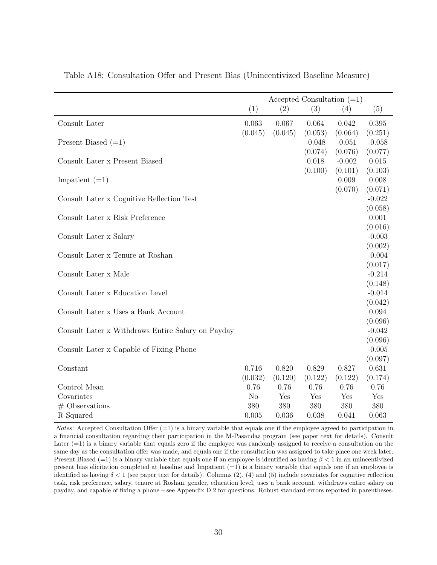|                                                   |                | Accepted Consultation $(=1)$ |          |          |                  |
|---------------------------------------------------|----------------|------------------------------|----------|----------|------------------|
|                                                   | (1)            | (2)                          | (3)      | (4)      | (5)              |
| Consult Later                                     | 0.063          | 0.067                        | 0.064    | 0.042    | 0.395            |
|                                                   | (0.045)        | (0.045)                      | (0.053)  | (0.064)  | (0.251)          |
| Present Biased $(=1)$                             |                |                              | $-0.048$ | $-0.051$ | $-0.058$         |
|                                                   |                |                              | (0.074)  | (0.076)  | (0.077)          |
| Consult Later x Present Biased                    |                |                              | 0.018    | $-0.002$ | 0.015            |
|                                                   |                |                              | (0.100)  | (0.101)  | (0.103)          |
| Impatient $(=1)$                                  |                |                              |          | 0.009    | 0.008            |
|                                                   |                |                              |          | (0.070)  | (0.071)          |
| Consult Later x Cognitive Reflection Test         |                |                              |          |          | $-0.022$         |
| Consult Later x Risk Preference                   |                |                              |          |          | (0.058)<br>0.001 |
|                                                   |                |                              |          |          | (0.016)          |
| Consult Later x Salary                            |                |                              |          |          | $-0.003$         |
|                                                   |                |                              |          |          | (0.002)          |
| Consult Later x Tenure at Roshan                  |                |                              |          |          | $-0.004$         |
|                                                   |                |                              |          |          | (0.017)          |
| Consult Later x Male                              |                |                              |          |          | $-0.214$         |
|                                                   |                |                              |          |          | (0.148)          |
| Consult Later x Education Level                   |                |                              |          |          | $-0.014$         |
|                                                   |                |                              |          |          | (0.042)          |
| Consult Later x Uses a Bank Account               |                |                              |          |          | 0.094            |
|                                                   |                |                              |          |          | (0.096)          |
| Consult Later x Withdraws Entire Salary on Payday |                |                              |          |          | $-0.042$         |
|                                                   |                |                              |          |          | (0.096)          |
| Consult Later x Capable of Fixing Phone           |                |                              |          |          | $-0.005$         |
| Constant                                          | 0.716          | 0.820                        | 0.829    | 0.827    | (0.097)<br>0.631 |
|                                                   | (0.032)        | (0.120)                      | (0.122)  | (0.122)  | (0.174)          |
| Control Mean                                      | 0.76           | 0.76                         | 0.76     | 0.76     | 0.76             |
| Covariates                                        | N <sub>o</sub> | Yes                          | Yes      | Yes      | Yes              |
| $#$ Observations                                  | 380            | 380                          | 380      | 380      | 380              |
| R-Squared                                         | 0.005          | 0.036                        | 0.038    | 0.041    | 0.063            |

<span id="page-29-0"></span>Table A18: Consultation Offer and Present Bias (Unincentivized Baseline Measure)

Notes: Accepted Consultation Offer  $(=1)$  is a binary variable that equals one if the employee agreed to participation in a financial consultation regarding their participation in the M-Pasandaz program (see paper text for details). Consult Later  $(=1)$  is a binary variable that equals zero if the employee was randomly assigned to receive a consultation on the same day as the consultation offer was made, and equals one if the consultation was assigned to take place one week later. Present Biased (=1) is a binary variable that equals one if an employee is identified as having  $\beta < 1$  in an unincentivized present bias elicitation completed at baseline and Impatient  $(=1)$  is a binary variable that equals one if an employee is identified as having  $\delta < 1$  (see paper text for details). Columns (2), (4) and (5) include covariates for cognitive reflection task, risk preference, salary, tenure at Roshan, gender, education level, uses a bank account, withdraws entire salary on payday, and capable of fixing a phone – see Appendix [D.2](#page-37-0) for questions. Robust standard errors reported in parentheses.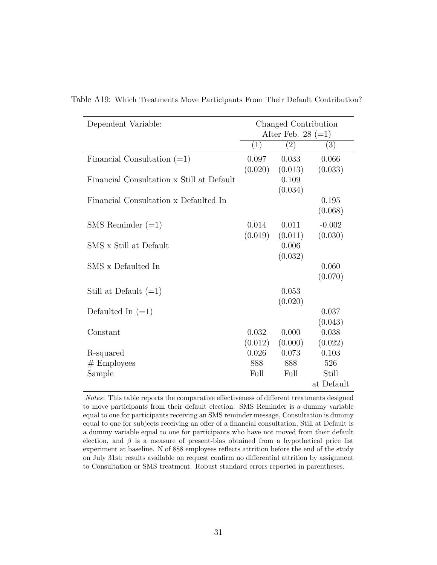| Dependent Variable:                       |         | Changed Contribution<br>After Feb. 28 $(=1)$ |                  |
|-------------------------------------------|---------|----------------------------------------------|------------------|
|                                           | (1)     | (2)                                          | (3)              |
| Financial Consultation $(=1)$             | 0.097   | 0.033                                        | 0.066            |
|                                           | (0.020) | (0.013)                                      | (0.033)          |
| Financial Consultation x Still at Default |         | 0.109                                        |                  |
| Financial Consultation x Defaulted In     |         | (0.034)                                      | 0.195<br>(0.068) |
| SMS Reminder $(=1)$                       | 0.014   | 0.011                                        | $-0.002$         |
|                                           | (0.019) | (0.011)                                      | (0.030)          |
| SMS x Still at Default                    |         | 0.006                                        |                  |
|                                           |         | (0.032)                                      |                  |
| SMS x Defaulted In                        |         |                                              | 0.060<br>(0.070) |
|                                           |         |                                              |                  |
| Still at Default $(=1)$                   |         | 0.053                                        |                  |
| Defaulted In $(=1)$                       |         | (0.020)                                      | 0.037            |
|                                           |         |                                              | (0.043)          |
| Constant                                  | 0.032   | 0.000                                        | 0.038            |
|                                           | (0.012) | (0.000)                                      | (0.022)          |
| R-squared                                 | 0.026   | 0.073                                        | 0.103            |
| $#$ Employees                             | 888     | 888                                          | 526              |
| Sample                                    | Full    | Full                                         | Still            |
|                                           |         |                                              | at Default       |

<span id="page-30-0"></span>Table A19: Which Treatments Move Participants From Their Default Contribution?

Notes: This table reports the comparative effectiveness of different treatments designed to move participants from their default election. SMS Reminder is a dummy variable equal to one for participants receiving an SMS reminder message, Consultation is dummy equal to one for subjects receiving an offer of a financial consultation, Still at Default is a dummy variable equal to one for participants who have not moved from their default election, and  $\beta$  is a measure of present-bias obtained from a hypothetical price list experiment at baseline. N of 888 employees reflects attrition before the end of the study on July 31st; results available on request confirm no differential attrition by assignment to Consultation or SMS treatment. Robust standard errors reported in parentheses.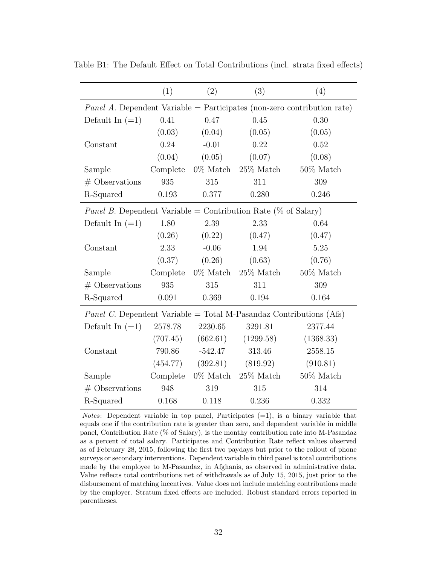|                                                                                | (1)      | (2)         | (3)          | (4)          |  |  |  |  |
|--------------------------------------------------------------------------------|----------|-------------|--------------|--------------|--|--|--|--|
| <i>Panel A.</i> Dependent Variable = Participates (non-zero contribution rate) |          |             |              |              |  |  |  |  |
| Default In $(=1)$                                                              | 0.41     | 0.47        | 0.45         | 0.30         |  |  |  |  |
|                                                                                | (0.03)   | (0.04)      | (0.05)       | (0.05)       |  |  |  |  |
| Constant                                                                       | 0.24     | $-0.01$     | 0.22         | 0.52         |  |  |  |  |
|                                                                                | (0.04)   | (0.05)      | (0.07)       | (0.08)       |  |  |  |  |
| Sample                                                                         | Complete | $0\%$ Match | $25\%$ Match | $50\%$ Match |  |  |  |  |
| $#$ Observations                                                               | 935      | 315         | 311          | 309          |  |  |  |  |
| R-Squared                                                                      | 0.193    | 0.377       | 0.280        | 0.246        |  |  |  |  |
| <i>Panel B.</i> Dependent Variable = Contribution Rate (% of Salary)           |          |             |              |              |  |  |  |  |
| Default In $(=1)$                                                              | 1.80     | 2.39        | 2.33         | 0.64         |  |  |  |  |
|                                                                                | (0.26)   | (0.22)      | (0.47)       | (0.47)       |  |  |  |  |
| Constant                                                                       | 2.33     | $-0.06$     | 1.94         | 5.25         |  |  |  |  |
|                                                                                | (0.37)   | (0.26)      | (0.63)       | (0.76)       |  |  |  |  |
| Sample                                                                         | Complete | $0\%$ Match | $25\%$ Match | $50\%$ Match |  |  |  |  |
| $#$ Observations                                                               | 935      | 315         | 311          | 309          |  |  |  |  |
| R-Squared                                                                      | 0.091    | 0.369       | 0.194        | 0.164        |  |  |  |  |
| <i>Panel C.</i> Dependent Variable = Total M-Pasandaz Contributions (Afs)      |          |             |              |              |  |  |  |  |
| Default In $(=1)$                                                              | 2578.78  | 2230.65     | 3291.81      | 2377.44      |  |  |  |  |
|                                                                                | (707.45) | (662.61)    | (1299.58)    | (1368.33)    |  |  |  |  |
| Constant                                                                       | 790.86   | $-542.47$   | 313.46       | 2558.15      |  |  |  |  |
|                                                                                | (454.77) | (392.81)    | (819.92)     | (910.81)     |  |  |  |  |
| Sample                                                                         | Complete | $0\%$ Match | $25\%$ Match | $50\%$ Match |  |  |  |  |
| $#$ Observations                                                               | 948      | 319         | 315          | 314          |  |  |  |  |
| R-Squared                                                                      | 0.168    | 0.118       | 0.236        | 0.332        |  |  |  |  |

<span id="page-31-0"></span>Table B1: The Default Effect on Total Contributions (incl. strata fixed effects)

*Notes*: Dependent variable in top panel, Participates  $(=1)$ , is a binary variable that equals one if the contribution rate is greater than zero, and dependent variable in middle panel, Contribution Rate (% of Salary), is the monthy contribution rate into M-Pasandaz as a percent of total salary. Participates and Contribution Rate reflect values observed as of February 28, 2015, following the first two paydays but prior to the rollout of phone surveys or secondary interventions. Dependent variable in third panel is total contributions made by the employee to M-Pasandaz, in Afghanis, as observed in administrative data. Value reflects total contributions net of withdrawals as of July 15, 2015, just prior to the disbursement of matching incentives. Value does not include matching contributions made by the employer. Stratum fixed effects are included. Robust standard errors reported in parentheses.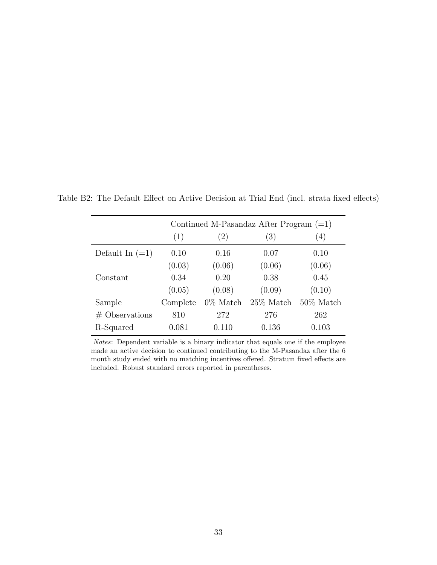|                   |          |             | Continued M-Pasandaz After Program $(=1)$ |              |
|-------------------|----------|-------------|-------------------------------------------|--------------|
|                   | (1)      | (2)         | (3)                                       | (4)          |
| Default In $(=1)$ | 0.10     | 0.16        | 0.07                                      | 0.10         |
|                   | (0.03)   | (0.06)      | (0.06)                                    | (0.06)       |
| Constant          | 0.34     | 0.20        | 0.38                                      | 0.45         |
|                   | (0.05)   | (0.08)      | (0.09)                                    | (0.10)       |
| Sample            | Complete | $0\%$ Match | $25\%$ Match                              | $50\%$ Match |
| $#$ Observations  | 810      | 272         | 276                                       | 262          |
| R-Squared         | 0.081    | 0.110       | 0.136                                     | 0.103        |

<span id="page-32-0"></span>Table B2: The Default Effect on Active Decision at Trial End (incl. strata fixed effects)

Notes: Dependent variable is a binary indicator that equals one if the employee made an active decision to continued contributing to the M-Pasandaz after the 6 month study ended with no matching incentives offered. Stratum fixed effects are included. Robust standard errors reported in parentheses.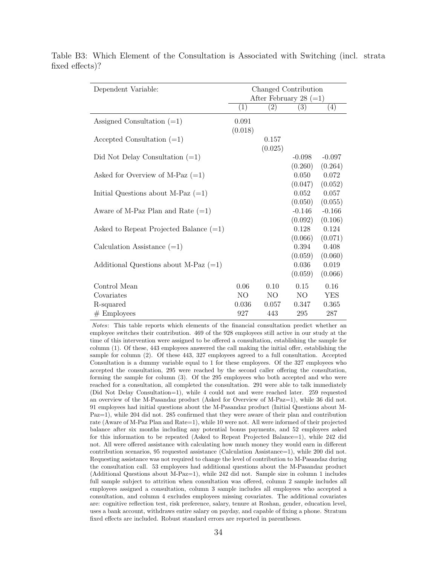| Dependent Variable:                      |                  |                  | Changed Contribution<br>After February 28 $(=1)$ |                             |
|------------------------------------------|------------------|------------------|--------------------------------------------------|-----------------------------|
|                                          | (1)              | (2)              | (3)                                              | (4)                         |
| Assigned Consultation $(=1)$             | 0.091<br>(0.018) |                  |                                                  |                             |
| Accepted Consultation $(=1)$             |                  | 0.157<br>(0.025) |                                                  |                             |
| Did Not Delay Consultation $(=1)$        |                  |                  | $-0.098$<br>(0.260)                              | $-0.097$<br>(0.264)         |
| Asked for Overview of M-Paz $(=1)$       |                  |                  | 0.050<br>(0.047)                                 | 0.072<br>(0.052)            |
| Initial Questions about M-Paz $(=1)$     |                  |                  | 0.052                                            | 0.057                       |
| Aware of M-Paz Plan and Rate $(=1)$      |                  |                  | (0.050)<br>$-0.146$                              | (0.055)<br>$-0.166$         |
| Asked to Repeat Projected Balance $(=1)$ |                  |                  | (0.092)<br>0.128<br>(0.066)                      | (0.106)<br>0.124<br>(0.071) |
| Calculation Assistance $(=1)$            |                  |                  | 0.394                                            | 0.408                       |
| Additional Questions about M-Paz $(=1)$  |                  |                  | (0.059)<br>0.036<br>(0.059)                      | (0.060)<br>0.019<br>(0.066) |
| Control Mean                             | 0.06             | 0.10             | 0.15                                             | 0.16                        |
| Covariates                               | NO               | NO.              | NO                                               | <b>YES</b>                  |
| R-squared                                | 0.036            | 0.057            | 0.347                                            | 0.365                       |
| $#$ Employees                            | 927              | 443              | 295                                              | 287                         |

<span id="page-33-0"></span>Table B3: Which Element of the Consultation is Associated with Switching (incl. strata fixed effects)?

> Notes: This table reports which elements of the financial consultation predict whether an employee switches their contribution. 469 of the 928 employees still active in our study at the time of this intervention were assigned to be offered a consultation, establishing the sample for column (1). Of these, 443 employees answered the call making the initial offer, establishing the sample for column (2). Of these 443, 327 employees agreed to a full consultation. Accepted Consultation is a dummy variable equal to 1 for these employees. Of the 327 employees who accepted the consultation, 295 were reached by the second caller offering the consultation, forming the sample for column (3). Of the 295 employees who both accepted and who were reached for a consultation, all completed the consultation. 291 were able to talk immediately (Did Not Delay Consultation=1), while 4 could not and were reached later. 259 requested an overview of the M-Pasandaz product (Asked for Overview of M-Paz=1), while 36 did not. 91 employees had initial questions about the M-Pasandaz product (Initial Questions about M-Paz=1), while 204 did not. 285 confirmed that they were aware of their plan and contribution rate (Aware of M-Paz Plan and Rate=1), while 10 were not. All were informed of their projected balance after six months including any potential bonus payments, and 52 employees asked for this information to be repeated (Asked to Repeat Projected Balance=1), while 242 did not. All were offered assistance with calculating how much money they would earn in different contribution scenarios, 95 requested assistance (Calculation Assistance=1), while 200 did not. Requesting assistance was not required to change the level of contribution to M-Pasandaz during the consultation call. 53 employees had additional questions about the M-Pasandaz product (Additional Questions about M-Paz=1), while 242 did not. Sample size in column 1 includes full sample subject to attrition when consultation was offered, column 2 sample includes all employees assigned a consultation, column 3 sample includes all employees who accepted a consultation, and column 4 excludes employees missing covariates. The additional covariates are: cognitive reflection test, risk preference, salary, tenure at Roshan, gender, education level, uses a bank account, withdraws entire salary on payday, and capable of fixing a phone. Stratum fixed effects are included. Robust standard errors are reported in parentheses.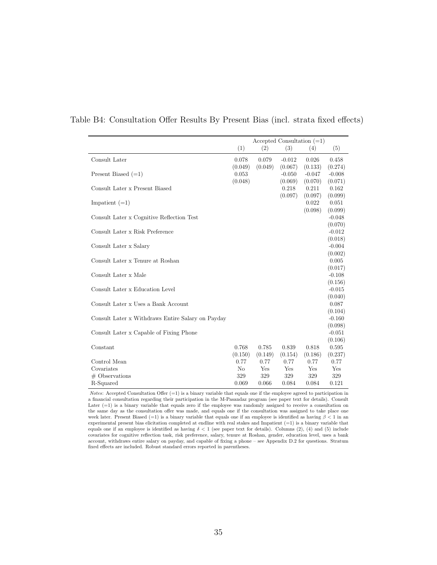|                                                   |         |         |          | Accepted Consultation $(=1)$ |                  |
|---------------------------------------------------|---------|---------|----------|------------------------------|------------------|
|                                                   | (1)     | (2)     | (3)      | (4)                          | (5)              |
| Consult Later                                     | 0.078   | 0.079   | $-0.012$ | 0.026                        | 0.458            |
|                                                   | (0.049) | (0.049) | (0.067)  | (0.133)                      | (0.274)          |
| Present Biased $(=1)$                             | 0.053   |         | $-0.050$ | $-0.047$                     | $-0.008$         |
|                                                   | (0.048) |         | (0.069)  | (0.070)                      | (0.071)          |
| Consult Later x Present Biased                    |         |         | 0.218    | 0.211                        | 0.162            |
|                                                   |         |         | (0.097)  | (0.097)                      | (0.099)          |
| Impatient $(=1)$                                  |         |         |          | 0.022                        | 0.051            |
|                                                   |         |         |          | (0.098)                      | (0.099)          |
| Consult Later x Cognitive Reflection Test         |         |         |          |                              | $-0.048$         |
|                                                   |         |         |          |                              | (0.070)          |
| Consult Later x Risk Preference                   |         |         |          |                              | $-0.012$         |
|                                                   |         |         |          |                              | (0.018)          |
| Consult Later x Salary                            |         |         |          |                              | $-0.004$         |
| Consult Later x Tenure at Roshan                  |         |         |          |                              | (0.002)<br>0.005 |
|                                                   |         |         |          |                              | (0.017)          |
| Consult Later x Male                              |         |         |          |                              | $-0.108$         |
|                                                   |         |         |          |                              | (0.156)          |
| Consult Later x Education Level                   |         |         |          |                              | $-0.015$         |
|                                                   |         |         |          |                              | (0.040)          |
| Consult Later x Uses a Bank Account               |         |         |          |                              | 0.087            |
|                                                   |         |         |          |                              | (0.104)          |
| Consult Later x Withdraws Entire Salary on Payday |         |         |          |                              | $-0.160$         |
|                                                   |         |         |          |                              | (0.098)          |
| Consult Later x Capable of Fixing Phone           |         |         |          |                              | $-0.051$         |
|                                                   |         |         |          |                              | (0.106)          |
| Constant                                          | 0.768   | 0.785   | 0.839    | 0.818                        | 0.595            |
|                                                   | (0.150) | (0.149) | (0.154)  | (0.186)                      | (0.237)          |
| Control Mean                                      | 0.77    | 0.77    | 0.77     | 0.77                         | 0.77             |
| Covariates                                        | No      | Yes     | Yes      | Yes                          | Yes              |
| $#$ Observations                                  | 329     | 329     | 329      | 329                          | 329              |
| R-Squared                                         | 0.069   | 0.066   | 0.084    | 0.084                        | 0.121            |

#### <span id="page-34-0"></span>Table B4: Consultation Offer Results By Present Bias (incl. strata fixed effects)

Notes: Accepted Consultation Offer  $(=1)$  is a binary variable that equals one if the employee agreed to participation in a financial consultation regarding their participation in the M-Pasandaz program (see paper text for details). Consult Later (=1) is a binary variable that equals zero if the employee was randomly assigned to receive a consultation on the same day as the consultation offer was made, and equals one if the consultation was assigned to take place one week later. Present Biased (=1) is a binary variable that equals one if an employee is identified as having  $\beta < 1$  in an experimental present bias elicitation completed at endline with real stakes and Impatient (=1) is a binary variable that equals one if an employee is identified as having  $\delta < 1$  (see paper text for details). Columns (2), (4) and (5) include covariates for cognitive reflection task, risk preference, salary, tenure at Roshan, gender, education level, uses a bank account, withdraws entire salary on payday, and capable of fixing a phone – see Appendix [D.2](#page-37-0) for questions. Stratum fixed effects are included. Robust standard errors reported in parentheses.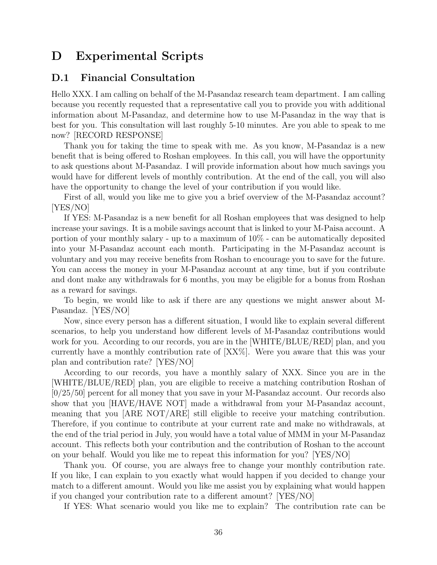# <span id="page-35-0"></span>D Experimental Scripts

#### <span id="page-35-1"></span>D.1 Financial Consultation

Hello XXX. I am calling on behalf of the M-Pasandaz research team department. I am calling because you recently requested that a representative call you to provide you with additional information about M-Pasandaz, and determine how to use M-Pasandaz in the way that is best for you. This consultation will last roughly 5-10 minutes. Are you able to speak to me now? RECORD RESPONSE

Thank you for taking the time to speak with me. As you know, M-Pasandaz is a new benefit that is being offered to Roshan employees. In this call, you will have the opportunity to ask questions about M-Pasandaz. I will provide information about how much savings you would have for different levels of monthly contribution. At the end of the call, you will also have the opportunity to change the level of your contribution if you would like.

First of all, would you like me to give you a brief overview of the M-Pasandaz account? [YES/NO]

If YES: M-Pasandaz is a new benefit for all Roshan employees that was designed to help increase your savings. It is a mobile savings account that is linked to your M-Paisa account. A portion of your monthly salary - up to a maximum of 10% - can be automatically deposited into your M-Pasandaz account each month. Participating in the M-Pasandaz account is voluntary and you may receive benefits from Roshan to encourage you to save for the future. You can access the money in your M-Pasandaz account at any time, but if you contribute and dont make any withdrawals for 6 months, you may be eligible for a bonus from Roshan as a reward for savings.

To begin, we would like to ask if there are any questions we might answer about M-Pasandaz. [YES/NO]

Now, since every person has a different situation, I would like to explain several different scenarios, to help you understand how different levels of M-Pasandaz contributions would work for you. According to our records, you are in the [WHITE/BLUE/RED] plan, and you currently have a monthly contribution rate of [XX%]. Were you aware that this was your plan and contribution rate? [YES/NO]

According to our records, you have a monthly salary of XXX. Since you are in the [WHITE/BLUE/RED] plan, you are eligible to receive a matching contribution Roshan of [0/25/50] percent for all money that you save in your M-Pasandaz account. Our records also show that you [HAVE/HAVE NOT] made a withdrawal from your M-Pasandaz account, meaning that you [ARE NOT/ARE] still eligible to receive your matching contribution. Therefore, if you continue to contribute at your current rate and make no withdrawals, at the end of the trial period in July, you would have a total value of MMM in your M-Pasandaz account. This reflects both your contribution and the contribution of Roshan to the account on your behalf. Would you like me to repeat this information for you? [YES/NO]

Thank you. Of course, you are always free to change your monthly contribution rate. If you like, I can explain to you exactly what would happen if you decided to change your match to a different amount. Would you like me assist you by explaining what would happen if you changed your contribution rate to a different amount? [YES/NO]

If YES: What scenario would you like me to explain? The contribution rate can be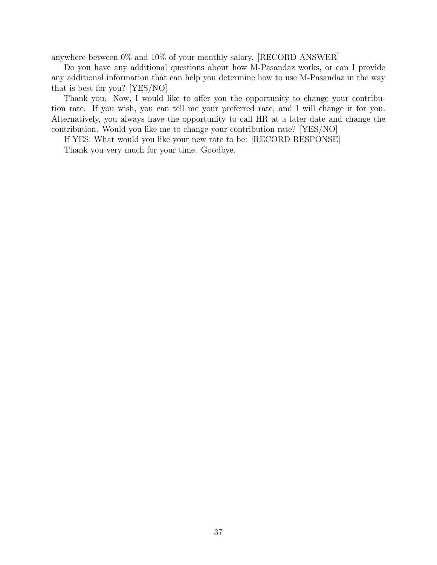anywhere between 0% and 10% of your monthly salary. [RECORD ANSWER]

Do you have any additional questions about how M-Pasandaz works, or can I provide any additional information that can help you determine how to use M-Pasandaz in the way that is best for you? [YES/NO]

Thank you. Now, I would like to offer you the opportunity to change your contribution rate. If you wish, you can tell me your preferred rate, and I will change it for you. Alternatively, you always have the opportunity to call HR at a later date and change the contribution. Would you like me to change your contribution rate? [YES/NO]

If YES: What would you like your new rate to be: [RECORD RESPONSE]

Thank you very much for your time. Goodbye.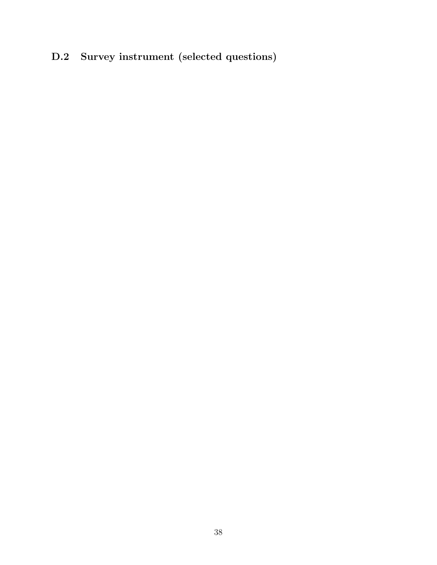# <span id="page-37-0"></span>D.2 Survey instrument (selected questions)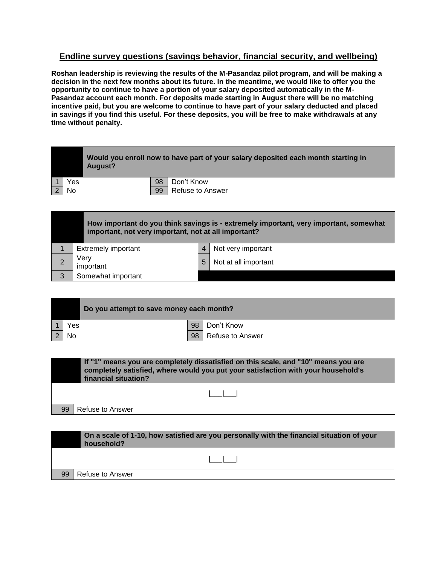## **Endline survey questions (savings behavior, financial security, and wellbeing)**

**Roshan leadership is reviewing the results of the M-Pasandaz pilot program, and will be making a decision in the next few months about its future. In the meantime, we would like to offer you the opportunity to continue to have a portion of your salary deposited automatically in the M-Pasandaz account each month. For deposits made starting in August there will be no matching incentive paid, but you are welcome to continue to have part of your salary deducted and placed in savings if you find this useful. For these deposits, you will be free to make withdrawals at any time without penalty.**

|     | Would you enroll now to have part of your salary deposited each month starting in<br>August? |    |            |  |  |  |  |
|-----|----------------------------------------------------------------------------------------------|----|------------|--|--|--|--|
| Yes |                                                                                              | 98 | Don't Know |  |  |  |  |
| No  | 99<br>Refuse to Answer                                                                       |    |            |  |  |  |  |

|   | important, not very important, not at all important? |   | How important do you think savings is - extremely important, very important, somewhat |
|---|------------------------------------------------------|---|---------------------------------------------------------------------------------------|
|   | <b>Extremely important</b>                           |   | Not very important                                                                    |
| 2 | Verv<br>important                                    | 5 | Not at all important                                                                  |
| 3 | Somewhat important                                   |   |                                                                                       |

|     | Do you attempt to save money each month? |    |                  |
|-----|------------------------------------------|----|------------------|
| Yes |                                          | 98 | Don't Know       |
| No  |                                          | 98 | Refuse to Answer |

| If "1" means you are completely dissatisfied on this scale, and "10" means you are<br>completely satisfied, where would you put your satisfaction with your household's<br>financial situation? |  |  |  |  |  |  |
|-------------------------------------------------------------------------------------------------------------------------------------------------------------------------------------------------|--|--|--|--|--|--|
|                                                                                                                                                                                                 |  |  |  |  |  |  |
| 99<br>Refuse to Answer                                                                                                                                                                          |  |  |  |  |  |  |

|    | On a scale of 1-10, how satisfied are you personally with the financial situation of your<br>household? |
|----|---------------------------------------------------------------------------------------------------------|
|    |                                                                                                         |
| 99 | Refuse to Answer                                                                                        |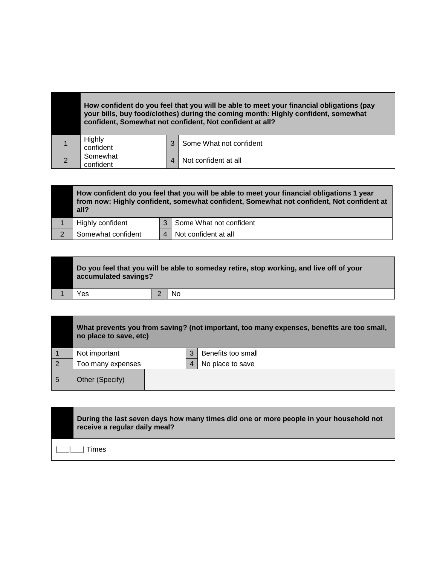|                       |   | How confident do you feel that you will be able to meet your financial obligations (pay<br>your bills, buy food/clothes) during the coming month: Highly confident, somewhat<br>confident, Somewhat not confident, Not confident at all? |
|-----------------------|---|------------------------------------------------------------------------------------------------------------------------------------------------------------------------------------------------------------------------------------------|
| Highly<br>confident   | 3 | Some What not confident                                                                                                                                                                                                                  |
| Somewhat<br>confident | 4 | Not confident at all                                                                                                                                                                                                                     |

٠

|                | How confident do you feel that you will be able to meet your financial obligations 1 year<br>from now: Highly confident, somewhat confident, Somewhat not confident, Not confident at<br>all? |                |                             |  |  |  |
|----------------|-----------------------------------------------------------------------------------------------------------------------------------------------------------------------------------------------|----------------|-----------------------------|--|--|--|
|                | Highly confident                                                                                                                                                                              |                | 3   Some What not confident |  |  |  |
| $\overline{2}$ | Somewhat confident                                                                                                                                                                            | $\overline{4}$ | Not confident at all        |  |  |  |

| Do you feel that you will be able to someday retire, stop working, and live off of your<br>accumulated savings? |  |    |  |  |  |
|-----------------------------------------------------------------------------------------------------------------|--|----|--|--|--|
| Yes                                                                                                             |  | No |  |  |  |

|   | What prevents you from saving? (not important, too many expenses, benefits are too small,<br>no place to save, etc) |  |   |                    |  |  |  |
|---|---------------------------------------------------------------------------------------------------------------------|--|---|--------------------|--|--|--|
|   | Not important                                                                                                       |  | 3 | Benefits too small |  |  |  |
| 2 | Too many expenses                                                                                                   |  |   | No place to save   |  |  |  |
| 5 | Other (Specify)                                                                                                     |  |   |                    |  |  |  |

| During the last seven days how many times did one or more people in your household not<br>receive a regular daily meal? |
|-------------------------------------------------------------------------------------------------------------------------|
| Times                                                                                                                   |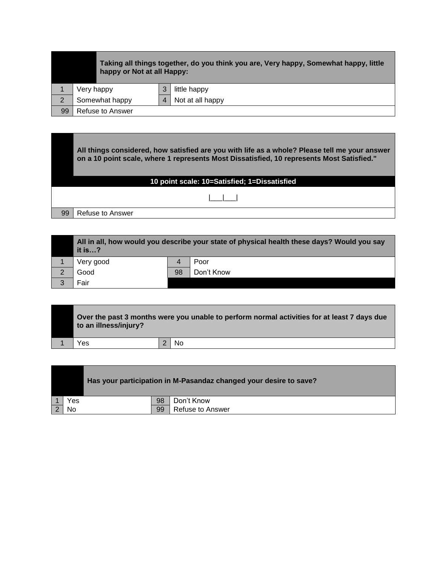|    | Taking all things together, do you think you are, Very happy, Somewhat happy, little<br>happy or Not at all Happy: |  |              |  |  |  |  |
|----|--------------------------------------------------------------------------------------------------------------------|--|--------------|--|--|--|--|
|    | Very happy                                                                                                         |  | little happy |  |  |  |  |
| 2  | Not at all happy<br>Somewhat happy                                                                                 |  |              |  |  |  |  |
| 99 | Refuse to Answer                                                                                                   |  |              |  |  |  |  |

**All things considered, how satisfied are you with life as a whole? Please tell me your answer on a 10 point scale, where 1 represents Most Dissatisfied, 10 represents Most Satisfied." 10 point scale: 10=Satisfied; 1=Dissatisfied**  |\_\_\_|\_\_\_| 99 | Refuse to Answer

|   | All in all, how would you describe your state of physical health these days? Would you say<br>it is? |    |            |  |  |
|---|------------------------------------------------------------------------------------------------------|----|------------|--|--|
|   | Very good                                                                                            | 4  | Poor       |  |  |
| 2 | Good                                                                                                 | 98 | Don't Know |  |  |
| 3 | Fair                                                                                                 |    |            |  |  |

| Over the past 3 months were you unable to perform normal activities for at least 7 days due<br>to an illness/injury? |  |  |  |  |
|----------------------------------------------------------------------------------------------------------------------|--|--|--|--|
| No<br>Yes                                                                                                            |  |  |  |  |

|     | Has your participation in M-Pasandaz changed your desire to save? |    |                  |  |
|-----|-------------------------------------------------------------------|----|------------------|--|
| Yes |                                                                   | 98 | Don't Know       |  |
| No  |                                                                   | 99 | Refuse to Answer |  |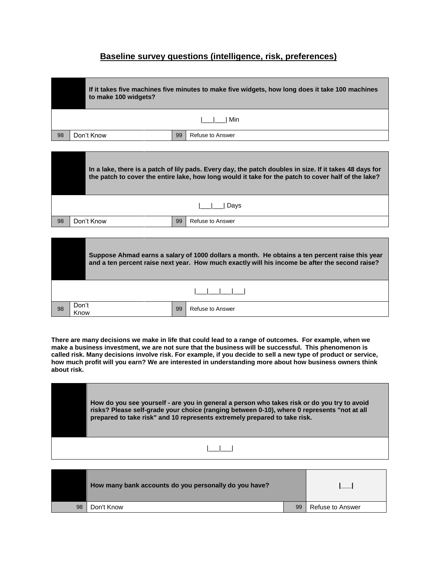## **Baseline survey questions (intelligence, risk, preferences)**

|    | If it takes five machines five minutes to make five widgets, how long does it take 100 machines<br>to make 100 widgets? |  |  |  |  |
|----|-------------------------------------------------------------------------------------------------------------------------|--|--|--|--|
|    | Min                                                                                                                     |  |  |  |  |
| 98 | Don't Know<br>99<br>Refuse to Answer                                                                                    |  |  |  |  |

|    | In a lake, there is a patch of lily pads. Every day, the patch doubles in size. If it takes 48 days for<br>the patch to cover the entire lake, how long would it take for the patch to cover half of the lake? |  |  |  |  |
|----|----------------------------------------------------------------------------------------------------------------------------------------------------------------------------------------------------------------|--|--|--|--|
|    | Davs                                                                                                                                                                                                           |  |  |  |  |
| 98 | Don't Know<br>99<br>Refuse to Answer                                                                                                                                                                           |  |  |  |  |

|    |               |    | Suppose Ahmad earns a salary of 1000 dollars a month. He obtains a ten percent raise this year<br>and a ten percent raise next year. How much exactly will his income be after the second raise? |
|----|---------------|----|--------------------------------------------------------------------------------------------------------------------------------------------------------------------------------------------------|
|    |               |    |                                                                                                                                                                                                  |
| 98 | Don't<br>Know | 99 | Refuse to Answer                                                                                                                                                                                 |

**There are many decisions we make in life that could lead to a range of outcomes. For example, when we make a business investment, we are not sure that the business will be successful. This phenomenon is called risk. Many decisions involve risk. For example, if you decide to sell a new type of product or service, how much profit will you earn? We are interested in understanding more about how business owners think about risk.**

| How do you see yourself - are you in general a person who takes risk or do you try to avoid<br>risks? Please self-grade your choice (ranging between 0-10), where 0 represents "not at all<br>prepared to take risk" and 10 represents extremely prepared to take risk. |
|-------------------------------------------------------------------------------------------------------------------------------------------------------------------------------------------------------------------------------------------------------------------------|
|                                                                                                                                                                                                                                                                         |

|    | How many bank accounts do you personally do you have? |    |                  |
|----|-------------------------------------------------------|----|------------------|
| 98 | Don't Know                                            | 99 | Refuse to Answer |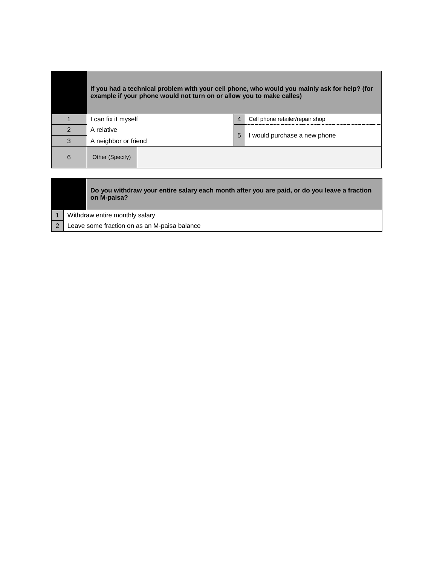|               | If you had a technical problem with your cell phone, who would you mainly ask for help? (for<br>example if your phone would not turn on or allow you to make calles) |                  |                                 |  |  |
|---------------|----------------------------------------------------------------------------------------------------------------------------------------------------------------------|------------------|---------------------------------|--|--|
|               | l can fix it myself                                                                                                                                                  | $\boldsymbol{4}$ | Cell phone retailer/repair shop |  |  |
| $\mathcal{P}$ | A relative                                                                                                                                                           |                  |                                 |  |  |
| 3             | A neighbor or friend                                                                                                                                                 | 5                | I would purchase a new phone    |  |  |
| 6             | Other (Specify)                                                                                                                                                      |                  |                                 |  |  |

|  | Do you withdraw your entire salary each month after you are paid, or do you leave a fraction<br>on M-paisa? |
|--|-------------------------------------------------------------------------------------------------------------|
|  | Withdraw entire monthly salary                                                                              |
|  | Leave some fraction on as an M-paisa balance                                                                |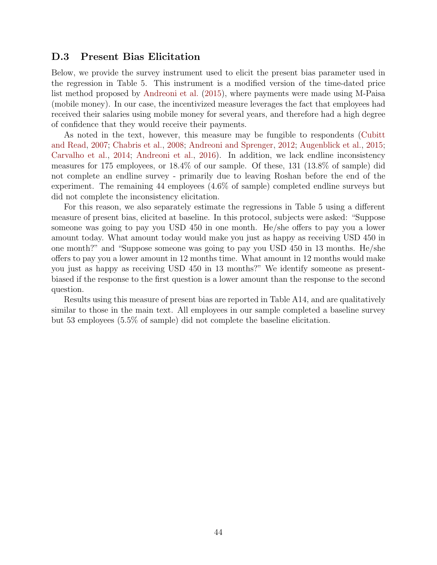#### <span id="page-43-0"></span>D.3 Present Bias Elicitation

Below, we provide the survey instrument used to elicit the present bias parameter used in the regression in Table 5. This instrument is a modified version of the time-dated price list method proposed by [Andreoni et al.](#page-46-8) [\(2015\)](#page-46-8), where payments were made using M-Paisa (mobile money). In our case, the incentivized measure leverages the fact that employees had received their salaries using mobile money for several years, and therefore had a high degree of confidence that they would receive their payments.

As noted in the text, however, this measure may be fungible to respondents [\(Cubitt](#page-47-10) [and Read,](#page-47-10) [2007;](#page-47-10) [Chabris et al.,](#page-47-11) [2008;](#page-47-11) [Andreoni and Sprenger,](#page-46-9) [2012;](#page-46-9) [Augenblick et al.,](#page-46-10) [2015;](#page-46-10) [Carvalho et al.,](#page-47-12) [2014;](#page-47-12) [Andreoni et al.,](#page-46-11) [2016\)](#page-46-11). In addition, we lack endline inconsistency measures for 175 employees, or 18.4% of our sample. Of these, 131 (13.8% of sample) did not complete an endline survey - primarily due to leaving Roshan before the end of the experiment. The remaining 44 employees (4.6% of sample) completed endline surveys but did not complete the inconsistency elicitation.

For this reason, we also separately estimate the regressions in Table 5 using a different measure of present bias, elicited at baseline. In this protocol, subjects were asked: "Suppose someone was going to pay you USD 450 in one month. He/she offers to pay you a lower amount today. What amount today would make you just as happy as receiving USD 450 in one month?" and "Suppose someone was going to pay you USD 450 in 13 months. He/she offers to pay you a lower amount in 12 months time. What amount in 12 months would make you just as happy as receiving USD 450 in 13 months?" We identify someone as presentbiased if the response to the first question is a lower amount than the response to the second question.

Results using this measure of present bias are reported in Table [A14,](#page-25-0) and are qualitatively similar to those in the main text. All employees in our sample completed a baseline survey but 53 employees (5.5% of sample) did not complete the baseline elicitation.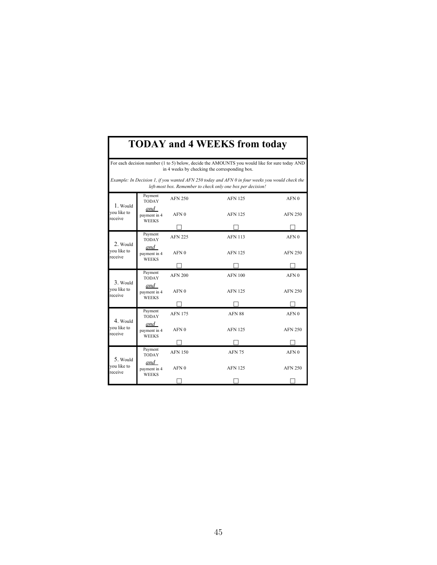# **TODAY and 4 WEEKS from today**

For each decision number (1 to 5) below, decide the AMOUNTS you would like for sure today AND in 4 weeks by checking the corresponding box.

*Example: In Decision 1, if you wanted AFN 250 today and AFN 0 in four weeks you would check the left-most box. Remember to check only one box per decision!*

|                                    | Payment<br><b>TODAY</b>                                                   | <b>AFN 250</b>                     | <b>AFN 125</b> | AFN <sub>0</sub> |
|------------------------------------|---------------------------------------------------------------------------|------------------------------------|----------------|------------------|
| 1. Would<br>vou like to<br>receive | and<br>payment in 4<br><b>WEEKS</b>                                       | AFN <sub>0</sub>                   | <b>AFN 125</b> | <b>AFN 250</b>   |
|                                    |                                                                           |                                    |                |                  |
| 2. Would                           | Payment<br><b>TODAY</b>                                                   | <b>AFN 225</b>                     | <b>AFN 113</b> | AFN <sub>0</sub> |
| vou like to<br>receive             | and<br>payment in 4<br><b>WEEKS</b>                                       | AFN <sub>0</sub>                   | <b>AFN 125</b> | <b>AFN 250</b>   |
|                                    |                                                                           |                                    |                |                  |
|                                    | Payment<br><b>TODAY</b>                                                   | <b>AFN 200</b>                     | <b>AFN 100</b> | AFN <sub>0</sub> |
| 3. Would<br>you like to<br>receive | and<br>AFN <sub>0</sub><br><b>AFN 125</b><br>payment in 4<br><b>WEEKS</b> | <b>AFN 250</b>                     |                |                  |
|                                    |                                                                           |                                    |                |                  |
|                                    | Payment<br><b>TODAY</b>                                                   | <b>AFN 175</b>                     | AFN 88         | AFN <sub>0</sub> |
| 4. Would<br>you like to<br>receive | and<br>payment in 4<br><b>WEEKS</b>                                       | AFN <sub>0</sub><br><b>AFN 125</b> |                | <b>AFN 250</b>   |
|                                    |                                                                           |                                    |                |                  |
| 5. Would<br>you like to<br>receive | Payment<br><b>TODAY</b>                                                   | <b>AFN 150</b>                     | <b>AFN 75</b>  | AFN <sub>0</sub> |
|                                    | and<br>payment in 4<br><b>WEEKS</b>                                       | AFN <sub>0</sub>                   | <b>AFN 125</b> | <b>AFN 250</b>   |
|                                    |                                                                           |                                    |                |                  |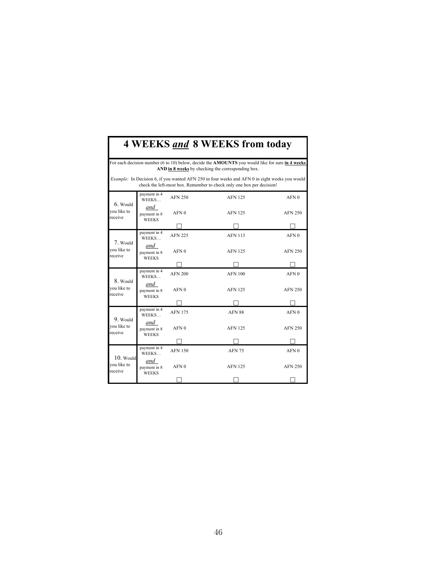# **4 WEEKS** *and* **8 WEEKS from today**

For each decision number (6 to 10) below, decide the **AMOUNTS** you would like for sure **in 4 weeks AND in 8 weeks** by checking the corresponding box.

*Example:* In Decision 6, if you wanted AFN 250 in four weeks and AFN 0 in eight weeks you would check the left-most box. Remember to check only one box per decision!

|                                       | payment in 4<br>WEEKS               | <b>AFN 250</b>   | <b>AFN 125</b> | AFN <sub>0</sub> |
|---------------------------------------|-------------------------------------|------------------|----------------|------------------|
| $6.$ Would<br>you like to<br>receive  | and<br>payment in 8<br><b>WEEKS</b> | AFN <sub>0</sub> | <b>AFN 125</b> | <b>AFN 250</b>   |
|                                       |                                     |                  |                |                  |
|                                       | payment in 4<br><b>WEEKS</b>        | <b>AFN 225</b>   | <b>AFN 113</b> | AFN <sub>0</sub> |
| 7. Would<br>you like to<br>receive    | and<br>payment in 8<br><b>WEEKS</b> | AFN <sub>0</sub> | <b>AFN 125</b> | <b>AFN 250</b>   |
|                                       |                                     |                  |                |                  |
|                                       | payment in 4<br>WEEKS               | <b>AFN 200</b>   | <b>AFN 100</b> | AFN <sub>0</sub> |
| 8. Would<br>you like to<br>receive    | and<br>payment in 8<br><b>WEEKS</b> | AFN <sub>0</sub> | <b>AFN 125</b> | <b>AFN 250</b>   |
|                                       |                                     |                  |                |                  |
|                                       | payment in 4<br><b>WEEKS</b>        | <b>AFN 175</b>   | AFN 88         | AFN <sub>0</sub> |
| 9. Would<br>you like to<br>receive    | and<br>payment in 8<br><b>WEEKS</b> | AFN <sub>0</sub> | <b>AFN 125</b> | <b>AFN 250</b>   |
|                                       |                                     |                  |                |                  |
|                                       | payment in 4<br>WEEKS               | <b>AFN 150</b>   | <b>AFN 75</b>  | AFN <sub>0</sub> |
| $10.$ Would<br>you like to<br>receive | and<br>payment in 8<br><b>WEEKS</b> | AFN <sub>0</sub> | <b>AFN 125</b> | <b>AFN 250</b>   |
|                                       |                                     |                  |                |                  |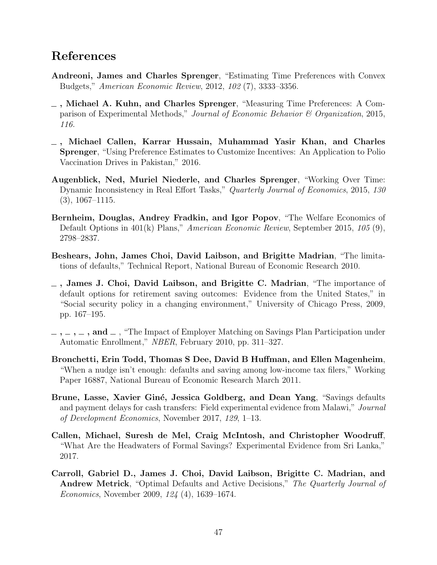## References

- <span id="page-46-9"></span>Andreoni, James and Charles Sprenger, "Estimating Time Preferences with Convex Budgets," American Economic Review, 2012, 102 (7), 3333–3356.
- <span id="page-46-8"></span>, Michael A. Kuhn, and Charles Sprenger, "Measuring Time Preferences: A Comparison of Experimental Methods," Journal of Economic Behavior & Organization, 2015, 116.
- <span id="page-46-11"></span>, Michael Callen, Karrar Hussain, Muhammad Yasir Khan, and Charles Sprenger, "Using Preference Estimates to Customize Incentives: An Application to Polio Vaccination Drives in Pakistan," 2016.
- <span id="page-46-10"></span>Augenblick, Ned, Muriel Niederle, and Charles Sprenger, "Working Over Time: Dynamic Inconsistency in Real Effort Tasks," Quarterly Journal of Economics, 2015, 130 (3), 1067–1115.
- <span id="page-46-3"></span>Bernheim, Douglas, Andrey Fradkin, and Igor Popov, "The Welfare Economics of Default Options in 401(k) Plans," American Economic Review, September 2015, 105 (9), 2798–2837.
- <span id="page-46-0"></span>Beshears, John, James Choi, David Laibson, and Brigitte Madrian, "The limitations of defaults," Technical Report, National Bureau of Economic Research 2010.
- <span id="page-46-4"></span> $\overline{\phantom{a}}$ , James J. Choi, David Laibson, and Brigitte C. Madrian, "The importance of default options for retirement saving outcomes: Evidence from the United States," in "Social security policy in a changing environment," University of Chicago Press, 2009, pp. 167–195.
- <span id="page-46-1"></span> $\ldots$ ,  $\ldots$ , and  $\ldots$ , "The Impact of Employer Matching on Savings Plan Participation under Automatic Enrollment," NBER, February 2010, pp. 311–327.
- <span id="page-46-5"></span>Bronchetti, Erin Todd, Thomas S Dee, David B Huffman, and Ellen Magenheim, "When a nudge isn't enough: defaults and saving among low-income tax filers," Working Paper 16887, National Bureau of Economic Research March 2011.
- <span id="page-46-6"></span>Brune, Lasse, Xavier Giné, Jessica Goldberg, and Dean Yang, "Savings defaults and payment delays for cash transfers: Field experimental evidence from Malawi," Journal of Development Economics, November 2017, 129, 1–13.
- <span id="page-46-2"></span>Callen, Michael, Suresh de Mel, Craig McIntosh, and Christopher Woodruff, "What Are the Headwaters of Formal Savings? Experimental Evidence from Sri Lanka," 2017.
- <span id="page-46-7"></span>Carroll, Gabriel D., James J. Choi, David Laibson, Brigitte C. Madrian, and Andrew Metrick, "Optimal Defaults and Active Decisions," The Quarterly Journal of Economics, November 2009, 124 (4), 1639–1674.